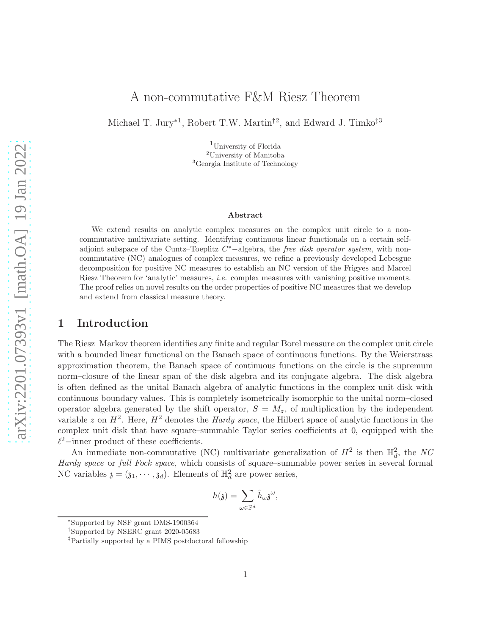# A non-commutative F&M Riesz Theorem

Michael T. Jury<sup>\*1</sup>, Robert T.W. Martin<sup>†2</sup>, and Edward J. Timko<sup>‡3</sup>

<sup>1</sup>University of Florida <sup>2</sup>University of Manitoba <sup>3</sup>Georgia Institute of Technology

### Abstract

We extend results on analytic complex measures on the complex unit circle to a noncommutative multivariate setting. Identifying continuous linear functionals on a certain selfadjoint subspace of the Cuntz–Toeplitz C <sup>∗</sup>−algebra, the *free disk operator system*, with noncommutative (NC) analogues of complex measures, we refine a previously developed Lebesgue decomposition for positive NC measures to establish an NC version of the Frigyes and Marcel Riesz Theorem for 'analytic' measures, *i.e.* complex measures with vanishing positive moments. The proof relies on novel results on the order properties of positive NC measures that we develop and extend from classical measure theory.

## 1 Introduction

The Riesz–Markov theorem identifies any finite and regular Borel measure on the complex unit circle with a bounded linear functional on the Banach space of continuous functions. By the Weierstrass approximation theorem, the Banach space of continuous functions on the circle is the supremum norm–closure of the linear span of the disk algebra and its conjugate algebra. The disk algebra is often defined as the unital Banach algebra of analytic functions in the complex unit disk with continuous boundary values. This is completely isometrically isomorphic to the unital norm–closed operator algebra generated by the shift operator,  $S = M<sub>z</sub>$ , of multiplication by the independent variable z on  $H^2$ . Here,  $H^2$  denotes the *Hardy space*, the Hilbert space of analytic functions in the complex unit disk that have square–summable Taylor series coefficients at 0, equipped with the  $\ell^2$ -inner product of these coefficients.

An immediate non-commutative (NC) multivariate generalization of  $H^2$  is then  $\mathbb{H}^2_d$ , the NC *Hardy space* or *full Fock space*, which consists of square–summable power series in several formal NC variables  $\mathfrak{z} = (\mathfrak{z}_1, \cdots, \mathfrak{z}_d)$ . Elements of  $\mathbb{H}_d^2$  are power series,

$$
h(\mathfrak{z})=\sum_{\omega\in\mathbb{F}^d}\hat{h}_{\omega\mathfrak{z}}^{\omega},
$$

<sup>∗</sup> Supported by NSF grant DMS-1900364

<sup>†</sup>Supported by NSERC grant 2020-05683

<sup>‡</sup>Partially supported by a PIMS postdoctoral fellowship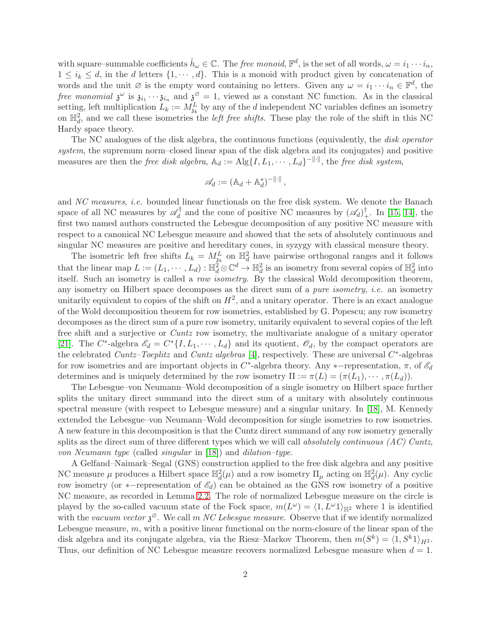with square–summable coefficients  $\hat{h}_{\omega} \in \mathbb{C}$ . The *free monoid*,  $\mathbb{F}^d$ , is the set of all words,  $\omega = i_1 \cdots i_n$ ,  $1 \leq i_k \leq d$ , in the d letters  $\{1, \dots, d\}$ . This is a monoid with product given by concatenation of words and the unit  $\emptyset$  is the empty word containing no letters. Given any  $\omega = i_1 \cdots i_n \in \mathbb{F}^d$ , the *free monomial*  $\mathfrak{z}^{\omega}$  is  $\mathfrak{z}_{i_1} \cdots \mathfrak{z}_{i_n}$  and  $\mathfrak{z}^{\varnothing} = 1$ , viewed as a constant NC function. As in the classical setting, left multiplication  $L_k := M_{jk}^L$  by any of the d independent NC variables defines an isometry on  $\mathbb{H}_d^2$ , and we call these isometries the *left free shifts*. These play the role of the shift in this NC Hardy space theory.

The NC analogues of the disk algebra, the continuous functions (equivalently, the *disk operator system*, the supremum norm–closed linear span of the disk algebra and its conjugates) and positive measures are then the *free disk algebra*,  $\mathbb{A}_d := \text{Alg}\{I, L_1, \cdots, L_d\}^{-\|\cdot\|}$ , the *free disk system*,

$$
\mathscr{A}_d := (\mathbb{A}_d + \mathbb{A}_d^*)^{-\|\cdot\|},
$$

and *NC measures*, *i.e.* bounded linear functionals on the free disk system. We denote the Banach space of all NC measures by  $\mathscr{A}_d^{\dagger}$  $\mathcal{A}_d^{\dagger}$  and the cone of positive NC measures by  $(\mathcal{A}_d)_{+}^{\dagger}$ . In [\[15,](#page-27-0) [14\]](#page-27-1), the first two named authors constructed the Lebesgue decomposition of any positive NC measure with respect to a canonical NC Lebesgue measure and showed that the sets of absolutely continuous and singular NC measures are positive and hereditary cones, in syzygy with classical measure theory.

The isometric left free shifts  $L_k = M_{jk}^L$  on  $\mathbb{H}_d^2$  have pairwise orthogonal ranges and it follows that the linear map  $L := (L_1, \dots, L_d) : \mathbb{H}_d^2 \otimes \mathbb{C}^d \to \mathbb{H}_d^2$  is an isometry from several copies of  $\mathbb{H}_d^2$  into itself. Such an isometry is called a *row isometry*. By the classical Wold decomposition theorem, any isometry on Hilbert space decomposes as the direct sum of a *pure isometry*, *i.e.* an isometry unitarily equivalent to copies of the shift on  $H^2$ , and a unitary operator. There is an exact analogue of the Wold decomposition theorem for row isometries, established by G. Popescu; any row isometry decomposes as the direct sum of a pure row isometry, unitarily equivalent to several copies of the left free shift and a surjective or *Cuntz* row isometry, the multivariate analogue of a unitary operator [\[21\]](#page-27-2). The C<sup>\*</sup>-algebra  $\mathscr{E}_d = C^* \{I, L_1, \cdots, L_d\}$  and its quotient,  $\mathscr{O}_d$ , by the compact operators are the celebrated *Cuntz–Toeplitz* and *Cuntz algebras* [\[4\]](#page-26-0), respectively. These are universal C ∗ -algebras for row isometries and are important objects in  $C^*$ -algebra theory. Any ∗-representation,  $\pi$ , of  $\mathscr{E}_d$ determines and is uniquely determined by the row isometry  $\Pi := \pi(L) = (\pi(L_1), \cdots, \pi(L_d)).$ 

The Lebesgue–von Neumann–Wold decomposition of a single isometry on Hilbert space further splits the unitary direct summand into the direct sum of a unitary with absolutely continuous spectral measure (with respect to Lebesgue measure) and a singular unitary. In [\[18\]](#page-27-3), M. Kennedy extended the Lebesgue–von Neumann–Wold decomposition for single isometries to row isometries. A new feature in this decomposition is that the Cuntz direct summand of any row isometry generally splits as the direct sum of three different types which we will call *absolutely continuous (AC) Cuntz*, *von Neumann type* (called *singular* in [\[18\]](#page-27-3)) and *dilation–type*.

A Gelfand–Naimark–Segal (GNS) construction applied to the free disk algebra and any positive NC measure  $\mu$  produces a Hilbert space  $\mathbb{H}_d^2(\mu)$  and a row isometry  $\Pi_\mu$  acting on  $\mathbb{H}_d^2(\mu)$ . Any cyclic row isometry (or ∗−representation of  $\mathscr{E}_d$ ) can be obtained as the GNS row isometry of a positive NC measure, as recorded in Lemma [2.2.](#page-4-0) The role of normalized Lebesgue measure on the circle is played by the so-called vacuum state of the Fock space,  $m(L^{\omega}) = \langle 1, L^{\omega}1 \rangle_{\mathbb{H}^2}$  where 1 is identified with the *vacuum vector*  $\mathfrak{z}^{\varnothing}$ . We call m *NC Lebesgue measure*. Observe that if we identify normalized Lebesgue measure,  $m$ , with a positive linear functional on the norm-closure of the linear span of the disk algebra and its conjugate algebra, via the Riesz-Markov Theorem, then  $m(S^k) = \langle 1, S^k 1 \rangle_{H^2}$ . Thus, our definition of NC Lebesgue measure recovers normalized Lebesgue measure when  $d = 1$ .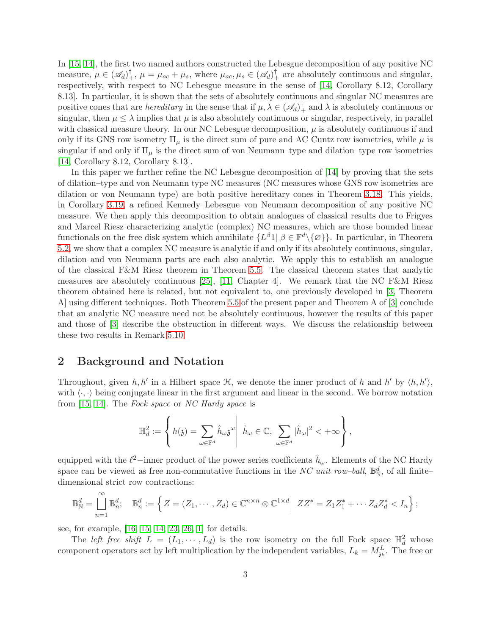In [\[15,](#page-27-0) [14\]](#page-27-1), the first two named authors constructed the Lebesgue decomposition of any positive NC measure,  $\mu \in (\mathscr{A}_d)^{\dagger}_{+}, \mu = \mu_{ac} + \mu_s$ , where  $\mu_{ac}, \mu_s \in (\mathscr{A}_d)^{\dagger}_{+}$  are absolutely continuous and singular, respectively, with respect to NC Lebesgue measure in the sense of [\[14,](#page-27-1) Corollary 8.12, Corollary 8.13]. In particular, it is shown that the sets of absolutely continuous and singular NC measures are positive cones that are *hereditary* in the sense that if  $\mu, \lambda \in (\mathscr{A}_d)_+^{\dagger}$  and  $\lambda$  is absolutely continuous or singular, then  $\mu \leq \lambda$  implies that  $\mu$  is also absolutely continuous or singular, respectively, in parallel with classical measure theory. In our NC Lebesgue decomposition,  $\mu$  is absolutely continuous if and only if its GNS row isometry  $\Pi_{\mu}$  is the direct sum of pure and AC Cuntz row isometries, while  $\mu$  is singular if and only if  $\Pi_{\mu}$  is the direct sum of von Neumann–type and dilation–type row isometries [\[14,](#page-27-1) Corollary 8.12, Corollary 8.13].

In this paper we further refine the NC Lebesgue decomposition of [\[14\]](#page-27-1) by proving that the sets of dilation–type and von Neumann type NC measures (NC measures whose GNS row isometries are dilation or von Neumann type) are both positive hereditary cones in Theorem [3.18.](#page-13-0) This yields, in Corollary [3.19,](#page-14-0) a refined Kennedy–Lebesgue–von Neumann decomposition of any positive NC measure. We then apply this decomposition to obtain analogues of classical results due to Frigyes and Marcel Riesz characterizing analytic (complex) NC measures, which are those bounded linear functionals on the free disk system which annihilate  $\{L^{\beta} \mathbb{1} \mid \beta \in \mathbb{F}^d \setminus \{\varnothing\}\}.$  In particular, in Theorem [5.2,](#page-19-0) we show that a complex NC measure is analytic if and only if its absolutely continuous, singular, dilation and von Neumann parts are each also analytic. We apply this to establish an analogue of the classical F&M Riesz theorem in Theorem [5.5.](#page-20-0) The classical theorem states that analytic measures are absolutely continuous [\[25\]](#page-28-0), [\[11,](#page-27-4) Chapter 4]. We remark that the NC F&M Riesz theorem obtained here is related, but not equivalent to, one previously developed in [\[3,](#page-26-1) Theorem A] using different techniques. Both Theorem [5.5](#page-20-0) of the present paper and Theorem A of [\[3\]](#page-26-1) conclude that an analytic NC measure need not be absolutely continuous, however the results of this paper and those of [\[3\]](#page-26-1) describe the obstruction in different ways. We discuss the relationship between these two results in Remark [5.10.](#page-22-0)

## 2 Background and Notation

Throughout, given  $h, h'$  in a Hilbert space  $\mathcal{H}$ , we denote the inner product of h and h' by  $\langle h, h' \rangle$ , with  $\langle \cdot, \cdot \rangle$  being conjugate linear in the first argument and linear in the second. We borrow notation from [\[15,](#page-27-0) [14\]](#page-27-1). The *Fock space* or *NC Hardy space* is

$$
\mathbb{H}^2_d:=\left\{h(\mathfrak{z})=\sum_{\omega\in\mathbb{F}^d}\hat{h}_{\omega}\mathfrak{z}^{\omega}\middle|\hat{h}_{\omega}\in\mathbb{C},\ \sum_{\omega\in\mathbb{F}^d}|\hat{h}_{\omega}|^2<+\infty\right\},
$$

equipped with the  $\ell^2$ -inner product of the power series coefficients  $\hat{h}_{\omega}$ . Elements of the NC Hardy space can be viewed as free non-commutative functions in the *NC unit row-ball*,  $\mathbb{B}_N^d$ , of all finitedimensional strict row contractions:

$$
\mathbb{B}_{\mathbb{N}}^d = \bigcup_{n=1}^{\infty} \mathbb{B}_n^d; \quad \mathbb{B}_n^d := \left\{ Z = (Z_1, \cdots, Z_d) \in \mathbb{C}^{n \times n} \otimes \mathbb{C}^{1 \times d} \middle| ZZ^* = Z_1 Z_1^* + \cdots Z_d Z_d^* < I_n \right\};
$$

see, for example, [\[16,](#page-27-5) [15,](#page-27-0) [14,](#page-27-1) [23,](#page-27-6) [26,](#page-28-1) [1\]](#page-26-2) for details.

The *left free shift*  $L = (L_1, \dots, L_d)$  is the row isometry on the full Fock space  $\mathbb{H}_d^2$  whose component operators act by left multiplication by the independent variables,  $L_k = M_{jk}^L$ . The free or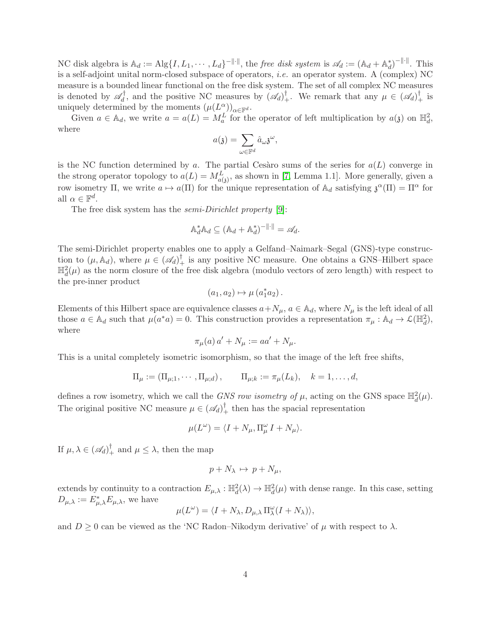NC disk algebra is  $\mathbb{A}_d := \text{Alg}\{I, L_1, \cdots, L_d\}^{-\|\cdot\|}$ , the *free disk system* is  $\mathscr{A}_d := (\mathbb{A}_d + \mathbb{A}_d^*)^{-\|\cdot\|}$ . This is a self-adjoint unital norm-closed subspace of operators, *i.e.* an operator system. A (complex) NC measure is a bounded linear functional on the free disk system. The set of all complex NC measures is denoted by  $\mathscr{A}_d^{\dagger}$  $\mathscr{A}_d^{\dagger}$ , and the positive NC measures by  $(\mathscr{A}_d)^{\dagger}$ . We remark that any  $\mu \in (\mathscr{A}_d)^{\dagger}$  is uniquely determined by the moments  $(\mu(L^{\alpha}_{\lrcorner}))_{\alpha \in \mathbb{F}^d}$ .

Given  $a \in \mathbb{A}_d$ , we write  $a = a(L) = M_a^L$  for the operator of left multiplication by  $a(\mathfrak{z})$  on  $\mathbb{H}_d^2$ , where

$$
a(\mathfrak{z}) = \sum_{\omega \in \mathbb{F}^d} \hat{a}_{\omega} \mathfrak{z}^{\omega},
$$

is the NC function determined by a. The partial Cesaro sums of the series for  $a(L)$  converge in the strong operator topology to  $a(L) = M_{a(3)}^L$ , as shown in [\[7,](#page-27-7) Lemma 1.1]. More generally, given a row isometry  $\Pi$ , we write  $a \mapsto a(\Pi)$  for the unique representation of  $\mathbb{A}_d$  satisfying  $\mathfrak{z}^{\alpha}(\Pi) = \Pi^{\alpha}$  for all  $\alpha \in \mathbb{F}^d$ .

The free disk system has the *semi-Dirichlet property* [\[9\]](#page-27-8):

$$
\mathbb{A}_d^* \mathbb{A}_d \subseteq (\mathbb{A}_d + \mathbb{A}_d^*)^{-\|\cdot\|} = \mathscr{A}_d.
$$

The semi-Dirichlet property enables one to apply a Gelfand–Naimark–Segal (GNS)-type construction to  $(\mu, \mathbb{A}_d)$ , where  $\mu \in (\mathscr{A}_d)^{\dagger}$  is any positive NC measure. One obtains a GNS–Hilbert space  $\mathbb{H}_d^2(\mu)$  as the norm closure of the free disk algebra (modulo vectors of zero length) with respect to the pre-inner product

$$
(a_1, a_2) \mapsto \mu (a_1^* a_2).
$$

Elements of this Hilbert space are equivalence classes  $a+N_\mu$ ,  $a \in \mathbb{A}_d$ , where  $N_\mu$  is the left ideal of all those  $a \in \mathbb{A}_d$  such that  $\mu(a^*a) = 0$ . This construction provides a representation  $\pi_\mu : \mathbb{A}_d \to \mathcal{L}(\mathbb{H}_d^2)$ , where

$$
\pi_{\mu}(a) a' + N_{\mu} := aa' + N_{\mu}.
$$

This is a unital completely isometric isomorphism, so that the image of the left free shifts,

$$
\Pi_{\mu} := (\Pi_{\mu;1}, \cdots, \Pi_{\mu;d}), \qquad \Pi_{\mu;k} := \pi_{\mu}(L_k), \quad k = 1, \ldots, d,
$$

defines a row isometry, which we call the *GNS row isometry of*  $\mu$ , acting on the GNS space  $\mathbb{H}_d^2(\mu)$ . The original positive NC measure  $\mu \in (\mathscr{A}_d)^{\dagger}$  then has the spacial representation

$$
\mu(L^{\omega}) = \langle I + N_{\mu}, \Pi_{\mu}^{\omega} I + N_{\mu} \rangle.
$$

If  $\mu, \lambda \in (\mathscr{A}_d)^{\dagger}_+$  and  $\mu \leq \lambda$ , then the map

$$
p + N_{\lambda} \mapsto p + N_{\mu},
$$

extends by continuity to a contraction  $E_{\mu,\lambda}: \mathbb{H}_d^2(\lambda) \to \mathbb{H}_d^2(\mu)$  with dense range. In this case, setting  $D_{\mu,\lambda} := E_{\mu,\lambda}^* E_{\mu,\lambda}$ , we have

$$
\mu(L^{\omega}) = \langle I + N_{\lambda}, D_{\mu, \lambda} \Pi_{\lambda}^{\omega}(I + N_{\lambda}) \rangle,
$$

and  $D \geq 0$  can be viewed as the 'NC Radon–Nikodym derivative' of  $\mu$  with respect to  $\lambda$ .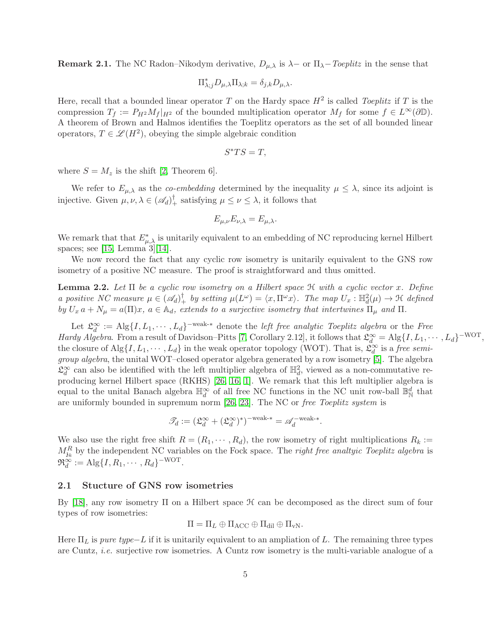**Remark 2.1.** The NC Radon–Nikodym derivative,  $D_{\mu,\lambda}$  is  $\lambda$  – or  $\Pi_{\lambda}$ –*Toeplitz* in the sense that

$$
\Pi_{\lambda;j}^* D_{\mu,\lambda} \Pi_{\lambda;k} = \delta_{j,k} D_{\mu,\lambda}.
$$

Here, recall that a bounded linear operator T on the Hardy space  $H^2$  is called *Toeplitz* if T is the compression  $T_f := P_{H^2}M_f|_{H^2}$  of the bounded multiplication operator  $M_f$  for some  $f \in L^{\infty}(\partial \mathbb{D})$ . A theorem of Brown and Halmos identifies the Toeplitz operators as the set of all bounded linear operators,  $T \in \mathcal{L}(H^2)$ , obeying the simple algebraic condition

$$
S^*TS=T,
$$

where  $S = M_z$  is the shift [\[2,](#page-26-3) Theorem 6].

We refer to  $E_{\mu,\lambda}$  as the *co-embedding* determined by the inequality  $\mu \leq \lambda$ , since its adjoint is injective. Given  $\mu, \nu, \lambda \in (\mathscr{A}_d)^\dagger_+$  satisfying  $\mu \leq \nu \leq \lambda$ , it follows that

$$
E_{\mu,\nu}E_{\nu,\lambda}=E_{\mu,\lambda}.
$$

We remark that that  $E^*_{\mu,\lambda}$  is unitarily equivalent to an embedding of NC reproducing kernel Hilbert spaces; see [\[15,](#page-27-0) Lemma 3][\[14\]](#page-27-1).

We now record the fact that any cyclic row isometry is unitarily equivalent to the GNS row isometry of a positive NC measure. The proof is straightforward and thus omitted.

<span id="page-4-0"></span>Lemma 2.2. *Let* Π *be a cyclic row isometry on a Hilbert space* H *with a cyclic vector* x*. Define a positive NC measure*  $\mu \in (\mathscr{A}_d)^{\dagger}$  *by setting*  $\mu(L^{\omega}) = \langle x, \Pi^{\omega} x \rangle$ *. The map*  $U_x : \mathbb{H}_d^2(\mu) \to \mathfrak{H}$  *defined by*  $U_x$   $a + N_\mu = a(\Pi)x$ ,  $a \in \mathbb{A}_d$ , extends to a surjective isometry that intertwines  $\Pi_\mu$  and  $\Pi$ .

Let  $\mathfrak{L}_d^{\infty} := \text{Alg}\{I, L_1, \cdots, L_d\}$ <sup>-weak-\*</sup> denote the *left free analytic Toeplitz algebra* or the *Free Hardy Algebra*. From a result of Davidson–Pitts [\[7,](#page-27-7) Corollary 2.12], it follows that  $\mathfrak{L}_d^{\infty} = \text{Alg}\{I, L_1, \cdots, L_d\}^{-WOT}$ , the closure of  $\text{Alg}\{I, L_1, \cdots, L_d\}$  in the weak operator topology (WOT). That is,  $\mathfrak{L}_d^{\infty}$  is a *free semigroup algebra*, the unital WOT–closed operator algebra generated by a row isometry [\[5\]](#page-26-4). The algebra  $\mathfrak{L}_d^{\infty}$  can also be identified with the left multiplier algebra of  $\mathbb{H}_d^2$ , viewed as a non-commutative reproducing kernel Hilbert space (RKHS) [\[26,](#page-28-1) [16,](#page-27-5) [1\]](#page-26-2). We remark that this left multiplier algebra is equal to the unital Banach algebra  $\mathbb{H}_d^{\infty}$  of all free NC functions in the NC unit row-ball  $\mathbb{B}_N^d$  that are uniformly bounded in supremum norm [\[26,](#page-28-1) [23\]](#page-27-6). The NC or *free Toeplitz system* is

$$
\mathcal{I}_d := (\mathfrak{L}_d^{\infty} + (\mathfrak{L}_d^{\infty})^*)^{-\text{weak-*}} = \mathscr{A}_d^{-\text{weak-*}}.
$$

We also use the right free shift  $R = (R_1, \dots, R_d)$ , the row isometry of right multiplications  $R_k :=$  $M_{3k}^R$  by the independent NC variables on the Fock space. The *right free analtyic Toeplitz algebra* is  $\mathfrak{R}_d^{\infty} := \text{Alg}\{I, R_1, \cdots, R_d\}^{-\text{WOT}}.$ 

## 2.1 Stucture of GNS row isometries

By [\[18\]](#page-27-3), any row isometry  $\Pi$  on a Hilbert space  $\mathcal H$  can be decomposed as the direct sum of four types of row isometries:

$$
\Pi = \Pi_L \oplus \Pi_{\text{ACC}} \oplus \Pi_{\text{dil}} \oplus \Pi_{\text{vN}}.
$$

Here  $\Pi_L$  is *pure type*−L if it is unitarily equivalent to an ampliation of L. The remaining three types are Cuntz, *i.e.* surjective row isometries. A Cuntz row isometry is the multi-variable analogue of a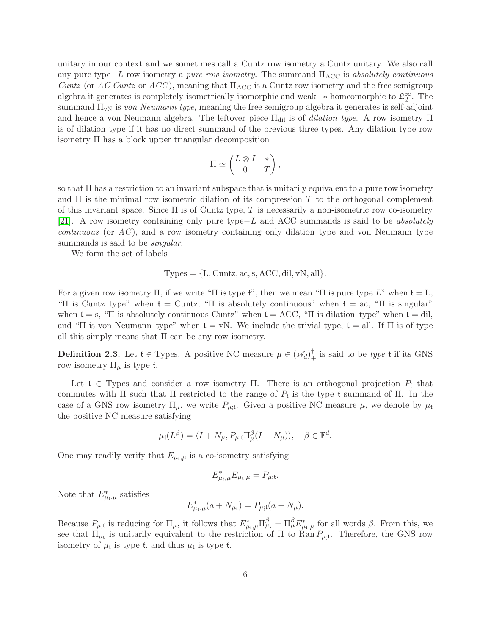unitary in our context and we sometimes call a Cuntz row isometry a Cuntz unitary. We also call any pure type−L row isometry a *pure row isometry*. The summand ΠACC is *absolutely continuous Cuntz* (or *AC Cuntz* or *ACC*), meaning that  $\Pi_{\text{ACC}}$  is a Cuntz row isometry and the free semigroup algebra it generates is completely isometrically isomorphic and weak–∗ homeomorphic to  $\mathfrak{L}_d^{\infty}$ . The summand ΠvN is *von Neumann type*, meaning the free semigroup algebra it generates is self-adjoint and hence a von Neumann algebra. The leftover piece  $\Pi_{\text{dil}}$  is of *dilation type*. A row isometry  $\Pi$ is of dilation type if it has no direct summand of the previous three types. Any dilation type row isometry Π has a block upper triangular decomposition

$$
\Pi \simeq \begin{pmatrix} L \otimes I & * \\ 0 & T \end{pmatrix},
$$

so that Π has a restriction to an invariant subspace that is unitarily equivalent to a pure row isometry and  $\Pi$  is the minimal row isometric dilation of its compression T to the orthogonal complement of this invariant space. Since  $\Pi$  is of Cuntz type, T is necessarily a non-isometric row co-isometry [\[21\]](#page-27-2). A row isometry containing only pure type−L and ACC summands is said to be *absolutely continuous* (or *AC* ), and a row isometry containing only dilation–type and von Neumann–type summands is said to be *singular*.

We form the set of labels

Types = 
$$
\{L, \text{Cuntz}, \text{ac}, \text{s}, \text{ACC}, \text{dil}, \text{vN}, \text{all}\}.
$$

For a given row isometry  $\Pi$ , if we write " $\Pi$  is type  $\mathfrak{t}$ ", then we mean " $\Pi$  is pure type  $L$ " when  $\mathfrak{t} = L$ , "Π is Cuntz-type" when  $t =$  Cuntz, "Π is absolutely continuous" when  $t = ac$ , "Π is singular" when  $t = s$ , "II is absolutely continuous Cuntz" when  $t = ACC$ , "II is dilation-type" when  $t = dil$ . and "Π is von Neumann–type" when  $t = vN$ . We include the trivial type,  $t = all$ . If  $\Pi$  is of type all this simply means that Π can be any row isometry.

<span id="page-5-0"></span>**Definition 2.3.** Let  $\mathfrak{t} \in \text{Types.}$  A positive NC measure  $\mu \in (\mathscr{A}_d)^{\dagger}$  is said to be *type*  $\mathfrak{t}$  if its GNS row isometry  $\Pi_{\mu}$  is type t.

Let  $t \in \text{Types}$  and consider a row isometry Π. There is an orthogonal projection  $P_t$  that commutes with  $\Pi$  such that  $\Pi$  restricted to the range of  $P_t$  is the type t summand of  $\Pi$ . In the case of a GNS row isometry  $\Pi_{\mu}$ , we write  $P_{\mu;\mathbf{t}}$ . Given a positive NC measure  $\mu$ , we denote by  $\mu_{\mathbf{t}}$ the positive NC measure satisfying

$$
\mu_{\mathfrak{t}}(L^{\beta}) = \langle I + N_{\mu}, P_{\mu; \mathfrak{t}} \Pi_{\mu}^{\beta} (I + N_{\mu}) \rangle, \quad \beta \in \mathbb{F}^{d}.
$$

One may readily verify that  $E_{\mu_t,\mu}$  is a co-isometry satisfying

$$
E_{\mu_{\mathfrak{t}},\mu}^*E_{\mu_{\mathfrak{t}},\mu}=P_{\mu;\mathfrak{t}}.
$$

Note that  $E^*_{\mu_t,\mu}$  satisfies

$$
E_{\mu_{\rm t},\mu}^*(a+N_{\mu_{\rm t}})=P_{\mu;{\rm t}}(a+N_{\mu}).
$$

Because  $P_{\mu;\mathfrak{t}}$  is reducing for  $\Pi_{\mu}$ , it follows that  $E_{\mu;\mu}^* \Pi_{\mu}^\beta = \Pi_{\mu}^\beta E_{\mu;\mu}^*$  for all words  $\beta$ . From this, we see that  $\Pi_{\mu_i}$  is unitarily equivalent to the restriction of  $\Pi$  to  $\text{Ran}\,P_{\mu_i}$ . Therefore, the GNS row isometry of  $\mu$ <sub>t</sub> is type t, and thus  $\mu$ <sub>t</sub> is type t.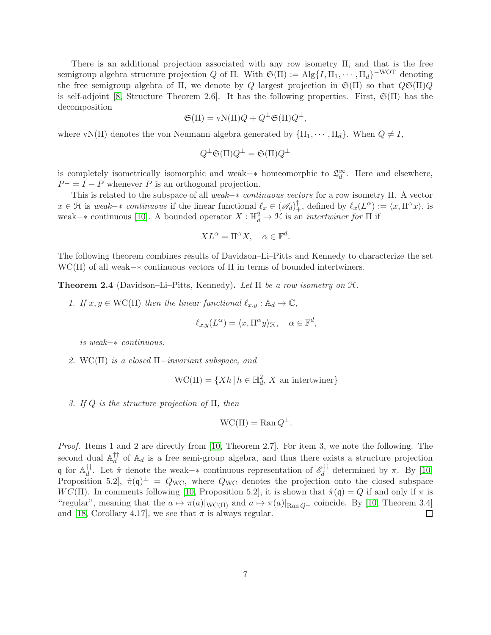There is an additional projection associated with any row isometry Π, and that is the free semigroup algebra structure projection Q of  $\Pi$ . With  $\mathfrak{S}(\Pi) := \text{Alg}\{I, \Pi_1, \cdots, \Pi_d\}^{-WOT}$  denoting the free semigroup algebra of Π, we denote by Q largest projection in  $\mathfrak{S}(\Pi)$  so that  $Q\mathfrak{S}(\Pi)Q$ is self-adjoint [\[8,](#page-27-9) Structure Theorem 2.6]. It has the following properties. First,  $\mathfrak{S}(\Pi)$  has the decomposition

$$
\mathfrak{S}(\Pi) = \text{vN}(\Pi)Q + Q^{\perp} \mathfrak{S}(\Pi)Q^{\perp},
$$

where vN(Π) denotes the von Neumann algebra generated by  $\{\Pi_1, \dots, \Pi_d\}$ . When  $Q \neq I$ ,

$$
Q^{\perp} \mathfrak{S}(\Pi) Q^{\perp} = \mathfrak{S}(\Pi) Q^{\perp}
$$

is completely isometrically isomorphic and weak–∗ homeomorphic to  $\mathfrak{L}_d^{\infty}$ . Here and elsewhere,  $P^{\perp} = I - P$  whenever P is an orthogonal projection.

This is related to the subspace of all *weak*−∗ *continuous vectors* for a row isometry Π. A vector  $x \in \mathcal{H}$  is *weak*-\* *continuous* if the linear functional  $\ell_x \in (\mathscr{A}_d)^{\dagger}$ , defined by  $\ell_x(L^{\alpha}) := \langle x, \Pi^{\alpha} x \rangle$ , is weak– $*$  continuous [\[10\]](#page-27-10). A bounded operator  $X : \mathbb{H}_d^2 \to \mathcal{H}$  is an *intertwiner for*  $\Pi$  if

$$
XL^{\alpha} = \Pi^{\alpha}X, \quad \alpha \in \mathbb{F}^d.
$$

The following theorem combines results of Davidson–Li–Pitts and Kennedy to characterize the set  $WC(\Pi)$  of all weak– $*$  continuous vectors of  $\Pi$  in terms of bounded intertwiners.

<span id="page-6-0"></span>Theorem 2.4 (Davidson–Li–Pitts, Kennedy). *Let* Π *be a row isometry on* H*.*

*1.* If  $x, y \in \text{WC}(\Pi)$  then the linear functional  $\ell_{x,y} : \mathbb{A}_d \to \mathbb{C}$ ,

$$
\ell_{x,y}(L^{\alpha}) = \langle x, \Pi^{\alpha} y \rangle_{\mathcal{H}}, \quad \alpha \in \mathbb{F}^d,
$$

*is weak*−∗ *continuous.*

*2.* WC(Π) *is a closed* Π−*invariant subspace, and*

$$
WC(\Pi) = \{ Xh \, | \, h \in \mathbb{H}_d^2, X \text{ an intertwiner} \}
$$

*3. If* Q *is the structure projection of* Π*, then*

$$
WC(\Pi) = \text{Ran } Q^{\perp}.
$$

*Proof.* Items 1 and 2 are directly from [\[10,](#page-27-10) Theorem 2.7]. For item 3, we note the following. The second dual  $\mathbb{A}_d^{\dagger\dagger}$  $d_d^{\dagger}$  of  $\mathbb{A}_d$  is a free semi-group algebra, and thus there exists a structure projection q for  $\mathbb{A}_d^{\dagger\dagger}$ <sup>††</sup>. Let  $\hat{\pi}$  denote the weak–∗ continuous representation of  $\mathcal{E}_d^{\dagger\dagger}$ <sup>2</sup><sup>1</sup> determined by  $\pi$ . By [\[10,](#page-27-10) Proposition 5.2,  $\hat{\pi}(\mathfrak{q})^{\perp} = Q_{\text{WC}}$ , where  $Q_{\text{WC}}$  denotes the projection onto the closed subspace  $WC(\Pi)$ . In comments following [\[10,](#page-27-10) Proposition 5.2], it is shown that  $\hat{\pi}(\mathfrak{q}) = Q$  if and only if  $\pi$  is "regular", meaning that the  $a \mapsto \pi(a)|_{\text{WC}(\Pi)}$  and  $a \mapsto \pi(a)|_{\text{Ran }Q^{\perp}}$  coincide. By [\[10,](#page-27-10) Theorem 3.4] and [\[18,](#page-27-3) Corollary 4.17], we see that  $\pi$  is always regular. □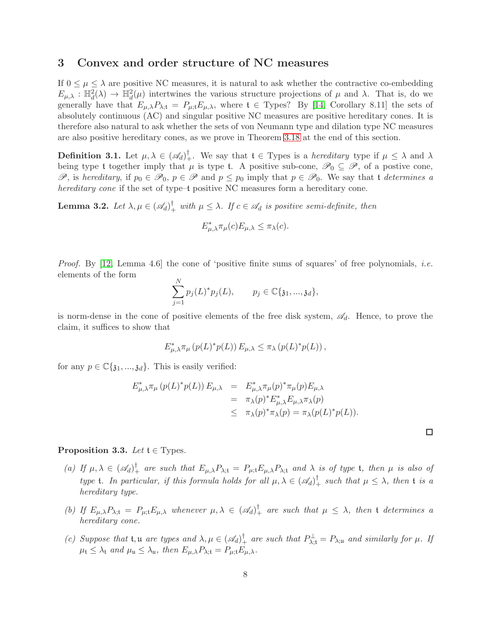## 3 Convex and order structure of NC measures

If  $0 \leq \mu \leq \lambda$  are positive NC measures, it is natural to ask whether the contractive co-embedding  $E_{\mu,\lambda}: \mathbb{H}^2_d(\lambda) \to \mathbb{H}^2_d(\mu)$  intertwines the various structure projections of  $\mu$  and  $\lambda$ . That is, do we generally have that  $E_{\mu,\lambda}P_{\lambda;t} = P_{\mu;t}E_{\mu,\lambda}$ , where  $t \in \text{Types}$ ? By [\[14,](#page-27-1) Corollary 8.11] the sets of absolutely continuous (AC) and singular positive NC measures are positive hereditary cones. It is therefore also natural to ask whether the sets of von Neumann type and dilation type NC measures are also positive hereditary cones, as we prove in Theorem [3.18](#page-13-0) at the end of this section.

**Definition 3.1.** Let  $\mu, \lambda \in (\mathscr{A}_d)^{\dagger}$ . We say that  $\mathfrak{t} \in \mathcal{T}$ ypes is a *hereditary* type if  $\mu \leq \lambda$  and  $\lambda$ being type t together imply that  $\mu$  is type t. A positive sub-cone,  $\mathscr{P}_0 \subseteq \mathscr{P}$ , of a postive cone, P, is *hereditary*, if  $p_0 \in \mathcal{P}_0$ ,  $p \in \mathcal{P}$  and  $p \leq p_0$  imply that  $p \in \mathcal{P}_0$ . We say that t *determines a hereditary cone* if the set of type–t positive NC measures form a hereditary cone.

<span id="page-7-0"></span>**Lemma 3.2.** Let  $\lambda, \mu \in (\mathscr{A}_d)^{\dagger}$  with  $\mu \leq \lambda$ . If  $c \in \mathscr{A}_d$  is positive semi-definite, then

$$
E_{\mu,\lambda}^* \pi_\mu(c) E_{\mu,\lambda} \le \pi_\lambda(c).
$$

*Proof.* By [\[12,](#page-27-11) Lemma 4.6] the cone of 'positive finite sums of squares' of free polynomials, *i.e.* elements of the form

$$
\sum_{j=1}^{N} p_j(L)^* p_j(L), \qquad p_j \in \mathbb{C}\{\mathfrak{z}_1, ..., \mathfrak{z}_d\},\
$$

is norm-dense in the cone of positive elements of the free disk system,  $\mathscr{A}_d$ . Hence, to prove the claim, it suffices to show that

$$
E_{\mu,\lambda}^* \pi_\mu (p(L)^* p(L)) E_{\mu,\lambda} \leq \pi_\lambda (p(L)^* p(L)),
$$

for any  $p \in \mathbb{C} \{ \mathfrak{z}_1, ..., \mathfrak{z}_d \}$ . This is easily verified:

$$
E_{\mu,\lambda}^* \pi_{\mu} (p(L)^* p(L)) E_{\mu,\lambda} = E_{\mu,\lambda}^* \pi_{\mu} (p)^* \pi_{\mu} (p) E_{\mu,\lambda}
$$
  
=  $\pi_{\lambda} (p)^* E_{\mu,\lambda}^* E_{\mu,\lambda} \pi_{\lambda} (p)$   
 $\leq \pi_{\lambda} (p)^* \pi_{\lambda} (p) = \pi_{\lambda} (p(L)^* p(L)).$ 

### <span id="page-7-1"></span>**Proposition 3.3.** *Let*  $t \in \text{Types.}$

- (a) If  $\mu, \lambda \in (\mathscr{A}_d)^{\dagger}$  are such that  $E_{\mu,\lambda}P_{\lambda;t} = P_{\mu;t}E_{\mu,\lambda}P_{\lambda;t}$  and  $\lambda$  is of type **t**, then  $\mu$  is also of *type* **t**. In particular, if this formula holds for all  $\mu, \lambda \in (\mathscr{A}_d)^\dagger_+$  such that  $\mu \leq \lambda$ , then **t** is a *hereditary type.*
- (b) If  $E_{\mu,\lambda}P_{\lambda;t} = P_{\mu;t}E_{\mu,\lambda}$  whenever  $\mu,\lambda \in (\mathscr{A}_d)^{\dagger}_{+}$  are such that  $\mu \leq \lambda$ , then t determines a *hereditary cone.*
- *(c)* Suppose that  $\mathfrak{t}, \mathfrak{u}$  are types and  $\lambda, \mu \in (\mathcal{A}_d)^{\dagger}$  are such that  $P^{\perp}_{\lambda; \mathfrak{t}} = P_{\lambda; \mathfrak{u}}$  and similarly for  $\mu$ . If  $\mu_t \leq \lambda_t$  *and*  $\mu_u \leq \lambda_u$ *, then*  $E_{\mu,\lambda}P_{\lambda;t} = P_{\mu;t}E_{\mu,\lambda}$ *.*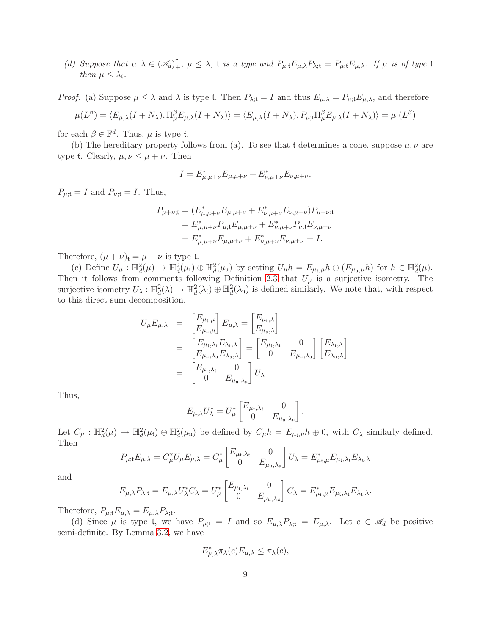(d) Suppose that  $\mu, \lambda \in (\mathscr{A}_d)^{\dagger}, \mu \leq \lambda$ , *t is a type and*  $P_{\mu; t} E_{\mu, \lambda} P_{\lambda; t} = P_{\mu; t} E_{\mu, \lambda}$ . If  $\mu$  *is of type t then*  $\mu \leq \lambda_{\mathfrak{t}}$ *.* 

*Proof.* (a) Suppose  $\mu \leq \lambda$  and  $\lambda$  is type t. Then  $P_{\lambda;t} = I$  and thus  $E_{\mu,\lambda} = P_{\mu;t} E_{\mu,\lambda}$ , and therefore

$$
\mu(L^{\beta}) = \langle E_{\mu,\lambda}(I + N_{\lambda}), \Pi_{\mu}^{\beta} E_{\mu,\lambda}(I + N_{\lambda}) \rangle = \langle E_{\mu,\lambda}(I + N_{\lambda}), P_{\mu;\mathfrak{t}} \Pi_{\mu}^{\beta} E_{\mu,\lambda}(I + N_{\lambda}) \rangle = \mu_{\mathfrak{t}}(L^{\beta})
$$

for each  $\beta \in \mathbb{F}^d$ . Thus,  $\mu$  is type t.

(b) The hereditary property follows from (a). To see that t determines a cone, suppose  $\mu, \nu$  are type t. Clearly,  $\mu, \nu \leq \mu + \nu$ . Then

$$
I = E_{\mu,\mu+\nu}^* E_{\mu,\mu+\nu} + E_{\nu,\mu+\nu}^* E_{\nu,\mu+\nu},
$$

 $P_{\mu;\mathfrak{t}}=I$  and  $P_{\nu;\mathfrak{t}}=I$ . Thus,

$$
P_{\mu+\nu;\mathfrak{t}} = (E_{\mu,\mu+\nu}^* E_{\mu,\mu+\nu} + E_{\nu,\mu+\nu}^* E_{\nu,\mu+\nu}) P_{\mu+\nu;\mathfrak{t}}
$$
  
=  $E_{\mu,\mu+\nu}^* P_{\mu;\mathfrak{t}} E_{\mu,\mu+\nu} + E_{\nu,\mu+\nu}^* P_{\nu;\mathfrak{t}} E_{\nu,\mu+\nu}$   
=  $E_{\mu,\mu+\nu}^* E_{\mu,\mu+\nu} + E_{\nu,\mu+\nu}^* E_{\nu,\mu+\nu} = I.$ 

Therefore,  $(\mu + \nu)_t = \mu + \nu$  is type t.

(c) Define  $U_{\mu}: \mathbb{H}^2_d(\mu) \to \mathbb{H}^2_d(\mu_t) \oplus \mathbb{H}^2_d(\mu_u)$  by setting  $U_{\mu}h = E_{\mu_t,\mu}h \oplus (E_{\mu_u,\mu}h)$  for  $h \in \mathbb{H}^2_d(\mu)$ . Then it follows from comments following Definition [2.3](#page-5-0) that  $U_{\mu}$  is a surjective isometry. The surjective isometry  $U_{\lambda}: \mathbb{H}^2_d(\lambda) \to \mathbb{H}^2_d(\lambda_t) \oplus \mathbb{H}^2_d(\lambda_u)$  is defined similarly. We note that, with respect to this direct sum decomposition,

$$
U_{\mu}E_{\mu,\lambda} = \begin{bmatrix} E_{\mu_{\mathfrak{t}},\mu} \\ E_{\mu_{\mathfrak{u}},\mu} \end{bmatrix} E_{\mu,\lambda} = \begin{bmatrix} E_{\mu_{\mathfrak{t}},\lambda} \\ E_{\mu_{\mathfrak{u}},\lambda} \end{bmatrix}
$$
  
\n
$$
= \begin{bmatrix} E_{\mu_{\mathfrak{t}},\lambda_{\mathfrak{t}}} E_{\lambda_{\mathfrak{t}},\lambda} \\ E_{\mu_{\mathfrak{u}},\lambda_{\mathfrak{u}}} E_{\lambda_{\mathfrak{u}},\lambda} \end{bmatrix} = \begin{bmatrix} E_{\mu_{\mathfrak{t}},\lambda_{\mathfrak{t}}} & 0 \\ 0 & E_{\mu_{\mathfrak{u}},\lambda_{\mathfrak{u}}} \end{bmatrix} \begin{bmatrix} E_{\lambda_{\mathfrak{t}},\lambda} \\ E_{\lambda_{\mathfrak{u}},\lambda} \end{bmatrix}
$$
  
\n
$$
= \begin{bmatrix} E_{\mu_{\mathfrak{t}},\lambda_{\mathfrak{t}}} & 0 \\ 0 & E_{\mu_{\mathfrak{u}},\lambda_{\mathfrak{u}}} \end{bmatrix} U_{\lambda}.
$$

Thus,

$$
E_{\mu,\lambda}U_{\lambda}^* = U_{\mu}^* \begin{bmatrix} E_{\mu_{\mathfrak{t}},\lambda_{\mathfrak{t}}} & 0 \\ 0 & E_{\mu_{\mathfrak{u}},\lambda_{\mathfrak{u}}} \end{bmatrix}.
$$

Let  $C_{\mu}: \mathbb{H}^2_d(\mu) \to \mathbb{H}^2_d(\mu_t) \oplus \mathbb{H}^2_d(\mu_u)$  be defined by  $C_{\mu}h = E_{\mu_t,\mu}h \oplus 0$ , with  $C_{\lambda}$  similarly defined. Then

$$
P_{\mu;t}E_{\mu,\lambda} = C_{\mu}^* U_{\mu}E_{\mu,\lambda} = C_{\mu}^* \begin{bmatrix} E_{\mu_t,\lambda_t} & 0\\ 0 & E_{\mu_u,\lambda_u} \end{bmatrix} U_{\lambda} = E_{\mu_t,\mu}^* E_{\mu_t,\lambda_t} E_{\lambda_t,\lambda}
$$

and

$$
E_{\mu,\lambda}P_{\lambda;t} = E_{\mu,\lambda}U_{\lambda}^*C_{\lambda} = U_{\mu}^* \begin{bmatrix} E_{\mu_t,\lambda_t} & 0\\ 0 & E_{\mu_u,\lambda_u} \end{bmatrix} C_{\lambda} = E_{\mu_t,\mu}^* E_{\mu_t,\lambda_t} E_{\lambda_t,\lambda}.
$$

Therefore,  $P_{\mu;\mathbf{t}}E_{\mu,\lambda}=E_{\mu,\lambda}P_{\lambda;\mathbf{t}}$ .

(d) Since  $\mu$  is type t, we have  $P_{\mu;\mathbf{t}} = I$  and so  $E_{\mu,\lambda}P_{\lambda;\mathbf{t}} = E_{\mu,\lambda}$ . Let  $c \in \mathscr{A}_d$  be positive semi-definite. By Lemma [3.2,](#page-7-0) we have

$$
E_{\mu,\lambda}^* \pi_\lambda(c) E_{\mu,\lambda} \le \pi_\lambda(c),
$$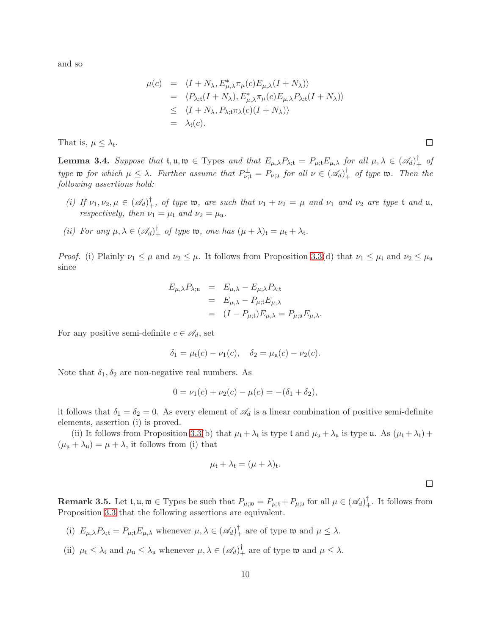and so

$$
\mu(c) = \langle I + N_{\lambda}, E_{\mu,\lambda}^{*} \pi_{\mu}(c) E_{\mu,\lambda} (I + N_{\lambda}) \rangle
$$
  
\n
$$
= \langle P_{\lambda; \mathfrak{t}} (I + N_{\lambda}), E_{\mu,\lambda}^{*} \pi_{\mu}(c) E_{\mu,\lambda} P_{\lambda; \mathfrak{t}} (I + N_{\lambda}) \rangle
$$
  
\n
$$
\leq \langle I + N_{\lambda}, P_{\lambda; \mathfrak{t}} \pi_{\lambda}(c) (I + N_{\lambda}) \rangle
$$
  
\n
$$
= \lambda_{\mathfrak{t}}(c).
$$

That is,  $\mu \leq \lambda_{t}$ .

<span id="page-9-0"></span>**Lemma 3.4.** Suppose that  $\mathfrak{t}, \mathfrak{u}, \mathfrak{w} \in \text{Types}$  and that  $E_{\mu,\lambda}P_{\lambda;\mathfrak{t}} = P_{\mu;\mathfrak{t}}E_{\mu,\lambda}$  for all  $\mu, \lambda \in (\mathscr{A}_d)^{\dagger}$  of *type* **w** *for which*  $\mu \leq \lambda$ *. Further assume that*  $P_{\nu;t}^{\perp} = P_{\nu;t}$  *for all*  $\nu \in (\mathscr{A}_d)_{+}^{\dagger}$  *of type* **w**. Then the *following assertions hold:*

- (i) If  $\nu_1, \nu_2, \mu \in (\mathscr{A}_d)^{\dagger}_+$ , of type **w**, are such that  $\nu_1 + \nu_2 = \mu$  and  $\nu_1$  and  $\nu_2$  are type t and **u**, *respectively, then*  $\nu_1 = \mu_t$  *and*  $\nu_2 = \mu_u$ *.*
- (*ii*) For any  $\mu, \lambda \in (\mathscr{A}_d)^{\dagger}$  of type **w**, one has  $(\mu + \lambda)_t = \mu_t + \lambda_t$ .

*Proof.* (i) Plainly  $\nu_1 \leq \mu$  and  $\nu_2 \leq \mu$ . It follows from Proposition [3.3\(](#page-7-1)d) that  $\nu_1 \leq \mu_t$  and  $\nu_2 \leq \mu_u$ since

$$
E_{\mu,\lambda}P_{\lambda;\mathfrak{u}} = E_{\mu,\lambda} - E_{\mu,\lambda}P_{\lambda;\mathfrak{t}}
$$
  
=  $E_{\mu,\lambda} - P_{\mu;\mathfrak{t}}E_{\mu,\lambda}$   
=  $(I - P_{\mu;\mathfrak{t}})E_{\mu,\lambda} = P_{\mu;\mathfrak{u}}E_{\mu,\lambda}.$ 

For any positive semi-definite  $c \in \mathscr{A}_d$ , set

$$
\delta_1 = \mu_t(c) - \nu_1(c), \quad \delta_2 = \mu_u(c) - \nu_2(c).
$$

Note that  $\delta_1, \delta_2$  are non-negative real numbers. As

$$
0 = \nu_1(c) + \nu_2(c) - \mu(c) = -(\delta_1 + \delta_2),
$$

it follows that  $\delta_1 = \delta_2 = 0$ . As every element of  $\mathscr{A}_d$  is a linear combination of positive semi-definite elements, assertion (i) is proved.

(ii) It follows from Proposition [3.3\(](#page-7-1)b) that  $\mu_t + \lambda_t$  is type t and  $\mu_u + \lambda_u$  is type u. As  $(\mu_t + \lambda_t)$  +  $(\mu_{\mathfrak{u}} + \lambda_{\mathfrak{u}}) = \mu + \lambda$ , it follows from (i) that

$$
\mu_{\mathfrak{t}} + \lambda_{\mathfrak{t}} = (\mu + \lambda)_{\mathfrak{t}}.
$$

 $\Box$ 

**Remark 3.5.** Let  $\mathfrak{t}, \mathfrak{u}, \mathfrak{w} \in \text{Types}$  be such that  $P_{\mu; \mathfrak{w}} = P_{\mu; \mathfrak{t}} + P_{\mu; \mathfrak{u}}$  for all  $\mu \in (\mathscr{A}_d)_{+}^{\dagger}$ . It follows from Proposition [3.3](#page-7-1) that the following assertions are equivalent.

- (i)  $E_{\mu,\lambda}P_{\lambda;t} = P_{\mu;t}E_{\mu,\lambda}$  whenever  $\mu,\lambda \in (\mathscr{A}_d)_+^{\dagger}$  are of type  $\mathfrak{w}$  and  $\mu \leq \lambda$ .
- (ii)  $\mu_{\mathfrak{t}} \leq \lambda_{\mathfrak{t}}$  and  $\mu_{\mathfrak{u}} \leq \lambda_{\mathfrak{u}}$  whenever  $\mu, \lambda \in (\mathscr{A}_d)^{\dagger}$  are of type  $\mathfrak{w}$  and  $\mu \leq \lambda$ .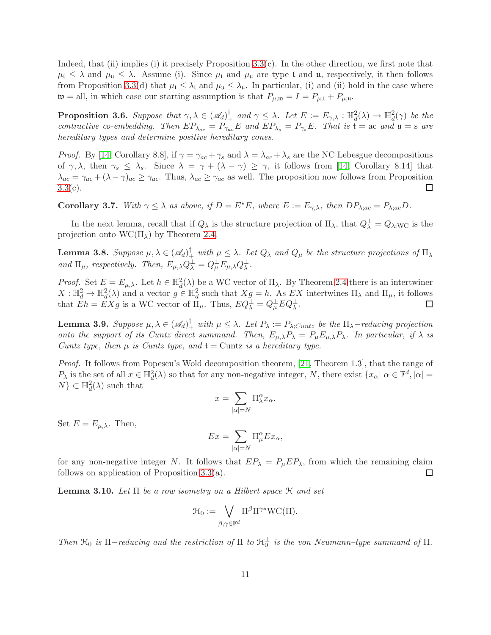Indeed, that (ii) implies (i) it precisely Proposition [3.3\(](#page-7-1)c). In the other direction, we first note that  $\mu_t \leq \lambda$  and  $\mu_u \leq \lambda$ . Assume (i). Since  $\mu_t$  and  $\mu_u$  are type t and u, respectively, it then follows from Proposition [3.3\(](#page-7-1)d) that  $\mu_t \leq \lambda_t$  and  $\mu_u \leq \lambda_u$ . In particular, (i) and (ii) hold in the case where  $\mathfrak{w} =$  all, in which case our starting assumption is that  $P_{\mu;\mathfrak{w}} = I = P_{\mu;\mathfrak{t}} + P_{\mu;\mathfrak{u}}$ .

<span id="page-10-2"></span>**Proposition 3.6.** Suppose that  $\gamma, \lambda \in (\mathscr{A}_d)^{\dagger}$  and  $\gamma \leq \lambda$ . Let  $E := E_{\gamma, \lambda} : \mathbb{H}_d^2(\lambda) \to \mathbb{H}_d^2(\gamma)$  be the *contractive co-embedding. Then*  $EP_{\lambda_{ac}} = P_{\gamma_{ac}}E$  *and*  $EP_{\lambda_s} = P_{\gamma_s}E$ . That is  $\mathfrak{t} =$  ac *and*  $\mathfrak{u} =$  s *are hereditary types and determine positive hereditary cones.*

*Proof.* By [\[14,](#page-27-1) Corollary 8.8], if  $\gamma = \gamma_{ac} + \gamma_s$  and  $\lambda = \lambda_{ac} + \lambda_s$  are the NC Lebesgue decompositions of  $\gamma, \lambda$ , then  $\gamma_s \leq \lambda_s$ . Since  $\lambda = \gamma + (\lambda - \gamma) \geq \gamma$ , it follows from [\[14,](#page-27-1) Corollary 8.14] that  $\lambda_{ac} = \gamma_{ac} + (\lambda - \gamma)_{ac} \ge \gamma_{ac}$ . Thus,  $\lambda_{ac} \ge \gamma_{ac}$  as well. The proposition now follows from Proposition  $3.3(c)$  $3.3(c)$ .  $\Box$ 

<span id="page-10-3"></span>**Corollary 3.7.** With  $\gamma \leq \lambda$  as above, if  $D = E^*E$ , where  $E := E_{\gamma,\lambda}$ , then  $DP_{\lambda;ac} = P_{\lambda;ac}D$ .

In the next lemma, recall that if  $Q_\lambda$  is the structure projection of  $\Pi_\lambda$ , that  $Q_\lambda^{\perp} = Q_{\lambda; \text{WC}}$  is the projection onto  $WC(\Pi_{\lambda})$  by Theorem [2.4.](#page-6-0)

<span id="page-10-1"></span>**Lemma 3.8.** Suppose  $\mu, \lambda \in (\mathscr{A}_d)^\dagger_+$  with  $\mu \leq \lambda$ . Let  $Q_\lambda$  and  $Q_\mu$  be the structure projections of  $\Pi_\lambda$ *and*  $\Pi_{\mu}$ *, respectively. Then,*  $E_{\mu,\lambda}Q_{\lambda}^{\perp} = Q_{\mu}^{\perp}E_{\mu,\lambda}Q_{\lambda}^{\perp}$ *.* 

*Proof.* Set  $E = E_{\mu,\lambda}$ . Let  $h \in \mathbb{H}_d^2(\lambda)$  be a WC vector of  $\Pi_{\lambda}$ . By Theorem [2.4](#page-6-0) there is an intertwiner  $X: \mathbb{H}_d^2 \to \mathbb{H}_d^2(\lambda)$  and a vector  $g \in \mathbb{H}_d^2$  such that  $Xg = h$ . As  $EX$  intertwines  $\Pi_\lambda$  and  $\Pi_\mu$ , it follows that  $Eh = EXg$  is a WC vector of  $\Pi_{\mu}$ . Thus,  $EQ^{\perp}_{\lambda} = Q^{\perp}_{\mu}EQ^{\perp}_{\lambda}$ .  $\Box$ 

<span id="page-10-4"></span>**Lemma 3.9.** Suppose  $\mu, \lambda \in (\mathscr{A}_d)^\dagger_+$  with  $\mu \leq \lambda$ . Let  $P_\lambda := P_{\lambda;Cuntz}$  be the  $\Pi_\lambda$ -reducing projection *onto the support of its Cuntz direct summand. Then,*  $E_{\mu,\lambda}P_{\lambda} = P_{\mu}E_{\mu,\lambda}P_{\lambda}$ . In particular, if  $\lambda$  is *Cuntz type, then*  $\mu$  *is Cuntz type, and*  $t =$  Cuntz *is a hereditary type.* 

*Proof.* It follows from Popescu's Wold decomposition theorem, [\[21,](#page-27-2) Theorem 1.3], that the range of  $P_{\lambda}$  is the set of all  $x \in \mathbb{H}^2_d(\lambda)$  so that for any non-negative integer, N, there exist  $\{x_{\alpha} | \alpha \in \mathbb{F}^d, |\alpha| =$  $N$ }  $\subset \mathbb{H}_d^2(\lambda)$  such that

$$
x=\sum_{|\alpha|=N}\Pi^\alpha_\lambda x_\alpha.
$$

Set  $E = E_{\mu,\lambda}$ . Then,

$$
Ex = \sum_{|\alpha|=N} \Pi_{\mu}^{\alpha} Ex_{\alpha},
$$

for any non-negative integer N. It follows that  $EP_{\lambda} = P_{\mu}EP_{\lambda}$ , from which the remaining claim follows on application of Proposition [3.3\(](#page-7-1)a). □

<span id="page-10-0"></span>Lemma 3.10. *Let* Π *be a row isometry on a Hilbert space* H *and set*

$$
\mathcal{H}_0 := \bigvee_{\beta, \gamma \in \mathbb{F}^d} \Pi^{\beta} \Pi^{\gamma*} \mathrm{WC}(\Pi).
$$

*Then*  $\mathcal{H}_0$  *is*  $\Pi$ *-reducing and the restriction of*  $\Pi$  *to*  $\mathcal{H}_0^{\perp}$  *is the von Neumann–type summand of*  $\Pi$ *.*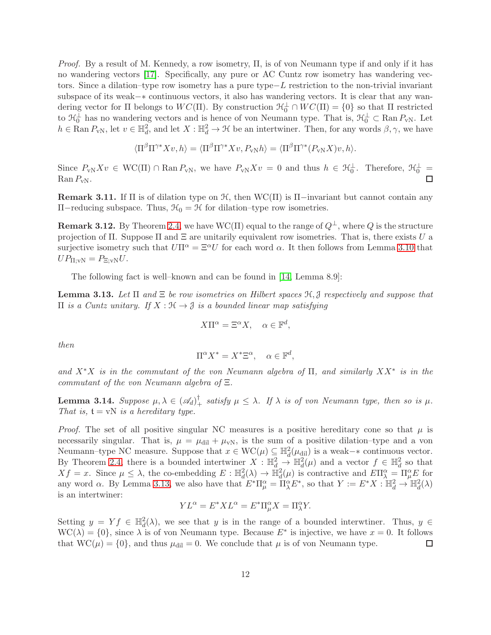*Proof.* By a result of M. Kennedy, a row isometry, Π, is of von Neumann type if and only if it has no wandering vectors [\[17\]](#page-27-12). Specifically, any pure or AC Cuntz row isometry has wandering vectors. Since a dilation–type row isometry has a pure type−L restriction to the non-trivial invariant subspace of its weak−∗ continuous vectors, it also has wandering vectors. It is clear that any wandering vector for  $\Pi$  belongs to  $WC(\Pi)$ . By construction  $\mathcal{H}_0^{\perp} \cap WC(\Pi) = \{0\}$  so that  $\Pi$  restricted to  $\mathcal{H}_0^{\perp}$  has no wandering vectors and is hence of von Neumann type. That is,  $\mathcal{H}_0^{\perp} \subset \text{Ran } P_{\text{vN}}$ . Let  $h \in \text{Ran } P_{\text{vN}}$ , let  $v \in \mathbb{H}_d^2$ , and let  $X : \mathbb{H}_d^2 \to \mathcal{H}$  be an intertwiner. Then, for any words  $\beta, \gamma$ , we have

$$
\langle \Pi^{\beta} \Pi^{\gamma *} Xv, h \rangle = \langle \Pi^{\beta} \Pi^{\gamma *} Xv, P_{vN} h \rangle = \langle \Pi^{\beta} \Pi^{\gamma *} (P_{vN} X)v, h \rangle.
$$

Since  $P_{\text{vN}}Xv \in \text{WC}(\Pi) \cap \text{Ran } P_{\text{vN}}$ , we have  $P_{\text{vN}}Xv = 0$  and thus  $h \in \mathcal{H}_0^{\perp}$ . Therefore,  $\mathcal{H}_0^{\perp} =$  $\operatorname{Ran} P_{\text{vN}}$ . П

**Remark 3.11.** If  $\Pi$  is of dilation type on  $H$ , then WC( $\Pi$ ) is  $\Pi$ -invariant but cannot contain any  $\Pi$ −reducing subspace. Thus,  $\mathcal{H}_0 = \mathcal{H}$  for dilation–type row isometries.

**Remark 3.12.** By Theorem [2.4,](#page-6-0) we have WC( $\Pi$ ) equal to the range of  $Q^{\perp}$ , where Q is the structure projection of  $\Pi$ . Suppose  $\Pi$  and  $\Xi$  are unitarily equivalent row isometries. That is, there exists U a surjective isometry such that  $U\Pi^{\alpha} = \Xi^{\alpha}U$  for each word  $\alpha$ . It then follows from Lemma [3.10](#page-10-0) that  $UP_{\Pi;vN} = P_{\Xi;vN}U.$ 

The following fact is well–known and can be found in [\[14,](#page-27-1) Lemma 8.9]:

<span id="page-11-0"></span>Lemma 3.13. *Let* Π *and* Ξ *be row isometries on Hilbert spaces* H, J *respectively and suppose that*  $\Pi$  *is a Cuntz unitary.* If  $X : \mathcal{H} \to \mathcal{J}$  *is a bounded linear map satisfying* 

$$
X\Pi^{\alpha} = \Xi^{\alpha} X, \quad \alpha \in \mathbb{F}^d,
$$

*then*

$$
\Pi^{\alpha} X^* = X^* \Xi^{\alpha}, \quad \alpha \in \mathbb{F}^d,
$$

*and* X∗X *is in the commutant of the von Neumann algebra of* Π*, and similarly* XX<sup>∗</sup> *is in the commutant of the von Neumann algebra of* Ξ*.*

Lemma 3.14. *Suppose*  $\mu, \lambda \in (\mathscr{A}_d)^{\dagger}$  *satisfy*  $\mu \leq \lambda$ . If  $\lambda$  *is of von Neumann type, then so is*  $\mu$ . *That is,*  $t = vN$  *is a hereditary type.* 

*Proof.* The set of all positive singular NC measures is a positive hereditary cone so that  $\mu$  is necessarily singular. That is,  $\mu = \mu_{\text{dil}} + \mu_{vN}$ , is the sum of a positive dilation–type and a von Neumann–type NC measure. Suppose that  $x \in WC(\mu) \subseteq \mathbb{H}_d^2(\mu_{\text{dil}})$  is a weak- $*$  continuous vector. By Theorem [2.4,](#page-6-0) there is a bounded intertwiner  $X : \mathbb{H}^2_d \to \mathbb{H}^2_d(\mu)$  and a vector  $f \in \mathbb{H}^2_d$  so that  $Xf = x$ . Since  $\mu \leq \lambda$ , the co-embedding  $E : \mathbb{H}_d^2(\lambda) \to \mathbb{H}_d^2(\mu)$  is contractive and  $E\Pi_{\lambda}^{\alpha} = \Pi_{\mu}^{\alpha}E$  for any word  $\alpha$ . By Lemma [3.13,](#page-11-0) we also have that  $E^* \Pi^\alpha_\mu = \Pi^\alpha_\lambda E^*$ , so that  $Y := E^* X : \mathbb{H}_d^2 \to \mathbb{H}_d^2(\lambda)$ is an intertwiner:

$$
YL^{\alpha} = E^*XL^{\alpha} = E^*\Pi^{\alpha}_{\mu}X = \Pi^{\alpha}_{\lambda}Y.
$$

Setting  $y = Yf \in \mathbb{H}_d^2(\lambda)$ , we see that y is in the range of a bounded interwtiner. Thus,  $y \in$  $WC(\lambda) = \{0\}$ , since  $\lambda$  is of von Neumann type. Because  $E^*$  is injective, we have  $x = 0$ . It follows that  $WC(\mu) = \{0\}$ , and thus  $\mu_{\text{dil}} = 0$ . We conclude that  $\mu$  is of von Neumann type.  $\Box$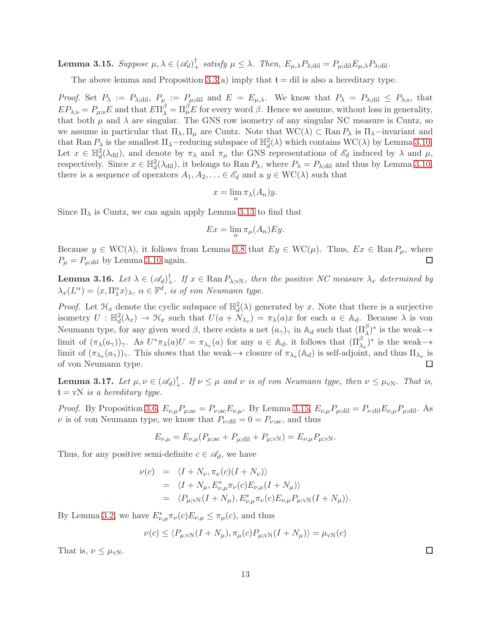<span id="page-12-0"></span>**Lemma 3.15.** Suppose  $\mu, \lambda \in (\mathscr{A}_d)^{\dagger}$  satisfy  $\mu \leq \lambda$ . Then,  $E_{\mu,\lambda}P_{\lambda;\text{dil}} = P_{\mu;\text{dil}}E_{\mu,\lambda}P_{\lambda;\text{dil}}$ .

The above lemma and Proposition [3.3\(](#page-7-1)a) imply that  $t = \text{dil}$  is also a hereditary type.

*Proof.* Set  $P_{\lambda} := P_{\lambda; \text{dil}}$ ,  $P_{\mu} := P_{\mu; \text{dil}}$  and  $E = E_{\mu, \lambda}$ . We know that  $P_{\lambda} = P_{\lambda; \text{dil}} \leq P_{\lambda; \text{s}}$ , that  $EP_{\lambda;\rm s} = P_{\mu;\rm s}E$  and that  $E\Pi_{\lambda}^{\beta} = \Pi_{\mu}^{\beta}E$  for every word  $\beta$ . Hence we assume, without loss in generality, that both  $\mu$  and  $\lambda$  are singular. The GNS row isometry of any singular NC measure is Cuntz, so we assume in particular that  $\Pi_{\lambda}, \Pi_{\mu}$  are Cuntz. Note that  $WC(\lambda) \subset Ran P_{\lambda}$  is  $\Pi_{\lambda}$ -invariant and that Ran  $P_{\lambda}$  is the smallest  $\Pi_{\lambda}$ -reducing subspace of  $\mathbb{H}^2_d(\lambda)$  which contains  $WC(\lambda)$  by Lemma [3.10.](#page-10-0) Let  $x \in \mathbb{H}^2_d(\lambda_{\text{dil}})$ , and denote by  $\pi_\lambda$  and  $\pi_\mu$  the GNS representations of  $\mathscr{E}_d$  induced by  $\lambda$  and  $\mu$ , respectively. Since  $x \in \mathbb{H}^2_d(\lambda_{\text{dil}})$ , it belongs to Ran  $P_\lambda$ , where  $P_\lambda = P_{\lambda_{\text{dil}}}$  and thus by Lemma [3.10,](#page-10-0) there is a sequence of operators  $A_1, A_2, \ldots \in \mathscr{E}_d$  and a  $y \in \text{WC}(\lambda)$  such that

$$
x = \lim_{n} \pi_{\lambda}(A_n) y.
$$

Since  $\Pi_{\lambda}$  is Cuntz, we can again apply Lemma [3.13](#page-11-0) to find that

$$
Ex = \lim_{n} \pi_{\mu}(A_n)Ey.
$$

Because  $y \in \text{WC}(\lambda)$ , it follows from Lemma [3.8](#page-10-1) that  $Ey \in \text{WC}(\mu)$ . Thus,  $Ex \in \text{Ran } P_{\mu}$ , where  $P_{\mu} = P_{\mu;dil}$  by Lemma [3.10](#page-10-0) again. □

<span id="page-12-1"></span>**Lemma 3.16.** Let  $\lambda \in (\mathscr{A}_d)^{\dagger}$ . If  $x \in \text{Ran } P_{\lambda; \text{vN}}$ , then the positive NC measure  $\lambda_x$  determined by  $\lambda_x(L^{\alpha}) = \langle x, \Pi^{\alpha}_\lambda x \rangle_\lambda$ ,  $\alpha \in \mathbb{F}^d$ , is of von Neumann type.

*Proof.* Let  $\mathcal{H}_x$  denote the cyclic subspace of  $\mathbb{H}_d^2(\lambda)$  generated by x. Note that there is a surjective isometry  $U : \mathbb{H}_d^2(\lambda_x) \to \mathcal{H}_x$  such that  $U(a + \tilde{N}_{\lambda_x}) = \pi_\lambda(a)x$  for each  $a \in \mathbb{A}_d$ . Because  $\lambda$  is von Neumann type, for any given word  $\beta$ , there exists a net  $(a_{\gamma})_{\gamma}$  in  $\mathbb{A}_d$  such that  $(\Pi_{\lambda}^{\beta})^*$  is the weak- $*$ limit of  $(\pi_{\lambda}(a_{\gamma}))_{\gamma}$ . As  $U^*\pi_{\lambda}(a)U = \pi_{\lambda_x}(a)$  for any  $a \in \mathbb{A}_d$ , it follows that  $(\Pi_{\lambda_x}^{\beta})^*$  is the weak- $*$ limit of  $(\pi_{\lambda_x}(a_\gamma))_\gamma$ . This shows that the weak– $*$  closure of  $\pi_{\lambda_x}(\mathbb{A}_d)$  is self-adjoint, and thus  $\Pi_{\lambda_x}$  is of von Neumann type. П

<span id="page-12-2"></span>**Lemma 3.17.** Let  $\mu, \nu \in (\mathscr{A}_d)^{\dagger}$ . If  $\nu \leq \mu$  and  $\nu$  is of von Neumann type, then  $\nu \leq \mu_{vN}$ . That is,  $t = vN$  *is a hereditary type.* 

*Proof.* By Proposition [3.6,](#page-10-2)  $E_{\nu,\mu}P_{\mu;\alpha c} = P_{\nu;\alpha c}E_{\nu,\mu}$ . By Lemma [3.15,](#page-12-0)  $E_{\nu,\mu}P_{\mu;\text{dil}} = P_{\nu;\text{dil}}E_{\nu,\mu}P_{\mu;\text{dil}}$ . As  $\nu$  is of von Neumann type, we know that  $P_{\nu; \text{dil}} = 0 = P_{\nu; \text{ac}}$ , and thus

$$
E_{\nu,\mu} = E_{\nu,\mu}(P_{\mu;\text{ac}} + P_{\mu;\text{dil}} + P_{\mu;\text{vN}}) = E_{\nu,\mu}P_{\mu;\text{vN}}.
$$

Thus, for any positive semi-definite  $c \in \mathscr{A}_d$ , we have

$$
\nu(c) = \langle I + N_{\nu}, \pi_{\nu}(c)(I + N_{\nu}) \rangle
$$
  
\n
$$
= \langle I + N_{\mu}, E_{\nu, \mu}^{*} \pi_{\nu}(c) E_{\nu, \mu}(I + N_{\mu}) \rangle
$$
  
\n
$$
= \langle P_{\mu; \nu N}(I + N_{\mu}), E_{\nu, \mu}^{*} \pi_{\nu}(c) E_{\nu, \mu} P_{\mu; \nu N}(I + N_{\mu}) \rangle.
$$

By Lemma [3.2,](#page-7-0) we have  $E^*_{\nu,\mu} \pi_{\nu}(c) E_{\nu,\mu} \leq \pi_{\mu}(c)$ , and thus

$$
\nu(c) \le \langle P_{\mu; \text{vN}}(I + N_{\mu}), \pi_{\mu}(c) P_{\mu; \text{vN}}(I + N_{\mu}) \rangle = \mu_{\text{vN}}(c)
$$

That is,  $\nu \leq \mu_{vN}$ .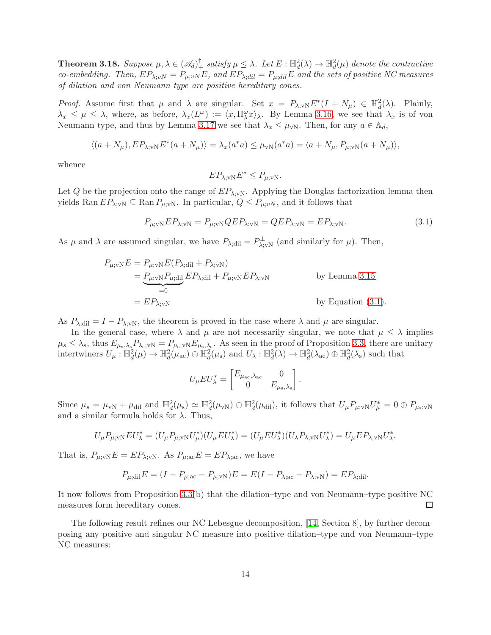<span id="page-13-0"></span>**Theorem 3.18.** Suppose  $\mu, \lambda \in (\mathscr{A}_d)^{\dagger}$  satisfy  $\mu \leq \lambda$ . Let  $E : \mathbb{H}_d^2(\lambda) \to \mathbb{H}_d^2(\mu)$  denote the contractive *co-embedding. Then,*  $EP_{\lambda;vN} = P_{\mu;vN}E$ , and  $EP_{\lambda;dil} = P_{\mu;dil}E$  and the sets of positive NC measures *of dilation and von Neumann type are positive hereditary cones.*

*Proof.* Assume first that  $\mu$  and  $\lambda$  are singular. Set  $x = P_{\lambda;\nu N} E^*(I + N_{\mu}) \in \mathbb{H}_d^2(\lambda)$ . Plainly,  $\lambda_x \leq \mu \leq \lambda$ , where, as before,  $\lambda_x(L^{\omega}) := \langle x, \Pi^{\omega}_\lambda x \rangle_\lambda$ . By Lemma [3.16,](#page-12-1) we see that  $\lambda_x$  is of von Neumann type, and thus by Lemma [3.17](#page-12-2) we see that  $\lambda_x \leq \mu_{vN}$ . Then, for any  $a \in \mathbb{A}_d$ ,

$$
\langle (a+N_{\mu}), EP_{\lambda;vN}E^*(a+N_{\mu})\rangle = \lambda_x(a^*a) \leq \mu_{vN}(a^*a) = \langle a+N_{\mu}, P_{\mu;vN}(a+N_{\mu})\rangle,
$$

whence

$$
EP_{\lambda; \text{vN}} E^* \le P_{\mu; \text{vN}}.
$$

Let Q be the projection onto the range of  $EP_{\lambda:\nu N}$ . Applying the Douglas factorization lemma then yields Ran  $EP_{\lambda;vN} \subseteq \text{Ran } P_{\mu;vN}$ . In particular,  $Q \leq P_{\mu;vN}$ , and it follows that

<span id="page-13-1"></span>
$$
P_{\mu,\text{vN}}EP_{\lambda,\text{vN}} = P_{\mu,\text{vN}}QEP_{\lambda,\text{vN}} = QEP_{\lambda,\text{vN}} = EP_{\lambda,\text{vN}}.\tag{3.1}
$$

.

As  $\mu$  and  $\lambda$  are assumed singular, we have  $P_{\lambda;\text{dil}} = P^{\perp}_{\lambda;\text{vN}}$  (and similarly for  $\mu$ ). Then,

$$
P_{\mu;\text{vN}}E = P_{\mu;\text{vN}}E(P_{\lambda;\text{dil}} + P_{\lambda;\text{vN}})
$$
  
= 
$$
\underbrace{P_{\mu;\text{vN}}P_{\mu;\text{dil}}}_{=0}EP_{\lambda;\text{dil}} + P_{\mu;\text{vN}}EP_{\lambda;\text{vN}}
$$
 by Lemma 3.15  
= 
$$
EP_{\lambda;\text{vN}}
$$
 by Equation (3.1).

As  $P_{\lambda:\text{dil}} = I - P_{\lambda:\text{vN}}$ , the theorem is proved in the case where  $\lambda$  and  $\mu$  are singular.

In the general case, where  $\lambda$  and  $\mu$  are not necessarily singular, we note that  $\mu \leq \lambda$  implies  $\mu_s \leq \lambda_s$ , thus  $E_{\mu_s,\lambda_s}P_{\lambda_s;vN} = P_{\mu_s;vN}E_{\mu_s,\lambda_s}$ . As seen in the proof of Proposition [3.3,](#page-7-1) there are unitary intertwiners  $U_{\mu}: \mathbb{H}^2_d(\mu) \to \mathbb{H}^2_d(\mu_{\rm ac}) \oplus \mathbb{H}^2_d(\mu_{\rm s})$  and  $U_{\lambda}: \mathbb{H}^2_d(\lambda) \to \mathbb{H}^2_d(\lambda_{\rm ac}) \oplus \mathbb{H}^2_d(\lambda_{\rm s})$  such that

$$
U_{\mu}EU_{\lambda}^* = \begin{bmatrix} E_{\mu_{\rm ac},\lambda_{\rm ac}} & 0\\ 0 & E_{\mu_{\rm s},\lambda_{\rm s}} \end{bmatrix}
$$

Since  $\mu_s = \mu_{vN} + \mu_{di}$  and  $\mathbb{H}_d^2(\mu_s) \simeq \mathbb{H}_d^2(\mu_{vN}) \oplus \mathbb{H}_d^2(\mu_{dil})$ , it follows that  $U_\mu P_{\mu;vN} U_\mu^* = 0 \oplus P_{\mu_s;vN}$ and a similar formula holds for  $\lambda$ . Thus,

$$
U_\mu P_{\mu;\text{vN}} EU_\lambda^* = (U_\mu P_{\mu;\text{vN}} U_\mu^*)(U_\mu EU_\lambda^*) = (U_\mu EU_\lambda^*)(U_\lambda P_{\lambda;\text{vN}} U_\lambda^*) = U_\mu EP_{\lambda;\text{vN}} U_\lambda^*.
$$

That is,  $P_{\mu;\text{vN}}E = EP_{\lambda;\text{vN}}$ . As  $P_{\mu;\text{ac}}E = EP_{\lambda;\text{ac}}$ , we have

$$
P_{\mu;\text{dil}}E = (I - P_{\mu;\text{ac}} - P_{\mu;\text{vN}})E = E(I - P_{\lambda;\text{ac}} - P_{\lambda;\text{vN}}) = EP_{\lambda;\text{dil}}.
$$

It now follows from Proposition [3.3\(](#page-7-1)b) that the dilation–type and von Neumann–type positive NC  $\Box$ measures form hereditary cones.

The following result refines our NC Lebesgue decomposition, [\[14,](#page-27-1) Section 8], by further decomposing any positive and singular NC measure into positive dilation–type and von Neumann–type NC measures: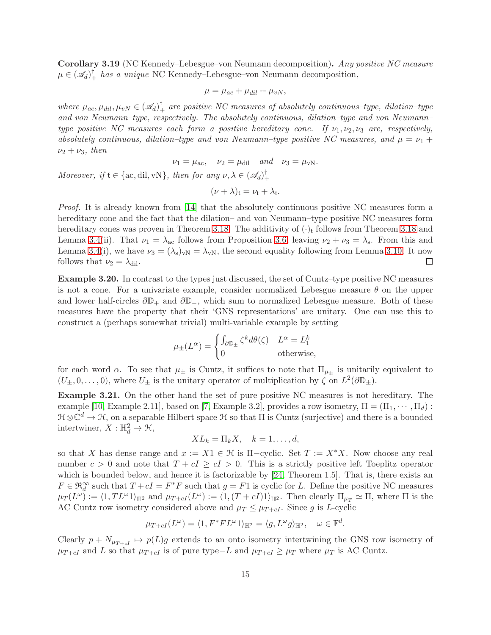<span id="page-14-0"></span>Corollary 3.19 (NC Kennedy–Lebesgue–von Neumann decomposition). *Any positive NC measure*  $\mu \in (\mathscr{A}_d)^{\dagger}$  *has a unique* NC Kennedy–Lebesgue–von Neumann decomposition,

$$
\mu = \mu_{ac} + \mu_{dil} + \mu_{vN},
$$

where  $\mu_{ac}, \mu_{dil}, \mu_{vN} \in (A_d)^{\dagger}$  are positive NC measures of absolutely continuous–type, dilation–type *and von Neumann–type, respectively. The absolutely continuous, dilation–type and von Neumann– type positive NC measures each form a positive hereditary cone. If*  $\nu_1, \nu_2, \nu_3$  *are, respectively, absolutely continuous, dilation–type and von Neumann–type positive NC measures, and*  $\mu = \nu_1 + \nu_2$  $\nu_2 + \nu_3$ *, then* 

$$
\nu_1 = \mu_{\text{ac}}, \quad \nu_2 = \mu_{\text{dil}} \quad \text{and} \quad \nu_3 = \mu_{\text{vN}}.
$$

*Moreover, if*  $\mathfrak{t} \in {\alpha, \text{dil}, \text{vN}}$ , then for any  $\nu, \lambda \in (\mathscr{A}_d)^\dagger$ +

$$
(\nu + \lambda)_t = \nu_t + \lambda_t.
$$

*Proof.* It is already known from [\[14\]](#page-27-1) that the absolutely continuous positive NC measures form a hereditary cone and the fact that the dilation– and von Neumann–type positive NC measures form hereditary cones was proven in Theorem [3.18.](#page-13-0) The additivity of  $(\cdot)_{\text{t}}$  follows from Theorem [3.18](#page-13-0) and Lemma [3.4\(](#page-9-0)ii). That  $\nu_1 = \lambda_{ac}$  follows from Proposition [3.6,](#page-10-2) leaving  $\nu_2 + \nu_3 = \lambda_s$ . From this and Lemma [3.4\(](#page-9-0)i), we have  $\nu_3 = (\lambda_s)_{vN} = \lambda_{vN}$ , the second equality following from Lemma [3.10.](#page-10-0) It now follows that  $\nu_2 = \lambda_{\text{dil}}$ .  $\Box$ 

Example 3.20. In contrast to the types just discussed, the set of Cuntz–type positive NC measures is not a cone. For a univariate example, consider normalized Lebesgue measure  $\theta$  on the upper and lower half-circles  $\partial \mathbb{D}_+$  and  $\partial \mathbb{D}_-$ , which sum to normalized Lebesgue measure. Both of these measures have the property that their 'GNS representations' are unitary. One can use this to construct a (perhaps somewhat trivial) multi-variable example by setting

$$
\mu_{\pm}(L^{\alpha}) = \begin{cases} \int_{\partial \mathbb{D}_{\pm}} \zeta^{k} d\theta(\zeta) & L^{\alpha} = L_{1}^{k} \\ 0 & \text{otherwise,} \end{cases}
$$

for each word  $\alpha$ . To see that  $\mu_{\pm}$  is Cuntz, it suffices to note that  $\Pi_{\mu_{\pm}}$  is unitarily equivalent to  $(U_{\pm}, 0, \ldots, 0)$ , where  $U_{\pm}$  is the unitary operator of multiplication by  $\zeta$  on  $L^2(\partial \mathbb{D}_{\pm})$ .

Example 3.21. On the other hand the set of pure positive NC measures is not hereditary. The example [\[10,](#page-27-10) Example 2.11], based on [\[7,](#page-27-7) Example 3.2], provides a row isometry,  $\Pi = (\Pi_1, \dots, \Pi_d)$ :  $\mathfrak{H}\otimes\mathbb{C}^d\to\mathfrak{H}$ , on a separable Hilbert space  $\mathfrak{H}$  so that  $\Pi$  is Cuntz (surjective) and there is a bounded intertwiner,  $X : \mathbb{H}_d^2 \to \mathcal{H}$ ,

$$
XL_k = \Pi_k X, \quad k = 1, \dots, d,
$$

so that X has dense range and  $x := X1 \in \mathcal{H}$  is  $\Pi$ -cyclic. Set  $T := X^*X$ . Now choose any real number  $c > 0$  and note that  $T + cI \ge cI > 0$ . This is a strictly positive left Toeplitz operator which is bounded below, and hence it is factorizable by [\[24,](#page-27-13) Theorem 1.5]. That is, there exists an  $F \in \mathfrak{R}^{\infty}_d$  such that  $T + cI = F^*F$  such that  $g = F1$  is cyclic for L. Define the positive NC measures  $\mu_T(L^{\omega}) := \langle 1, TL^{\omega}1 \rangle_{\mathbb{H}^2}$  and  $\mu_{T+cI}(L^{\omega}) := \langle 1, (T+cI)1 \rangle_{\mathbb{H}^2}$ . Then clearly  $\Pi_{\mu_T} \simeq \Pi$ , where  $\Pi$  is the AC Cuntz row isometry considered above and  $\mu_T \leq \mu_{T+cI}$ . Since g is L-cyclic

$$
\mu_{T+cI}(L^{\omega}) = \langle 1, F^*FL^{\omega} 1 \rangle_{\mathbb{H}^2} = \langle g, L^{\omega} g \rangle_{\mathbb{H}^2}, \quad \omega \in \mathbb{F}^d.
$$

Clearly  $p + N_{\mu_{T+cI}} \mapsto p(L)g$  extends to an onto isometry intertwining the GNS row isometry of  $\mu_{T+cI}$  and L so that  $\mu_{T+cI}$  is of pure type–L and  $\mu_{T+cI} \geq \mu_T$  where  $\mu_T$  is AC Cuntz.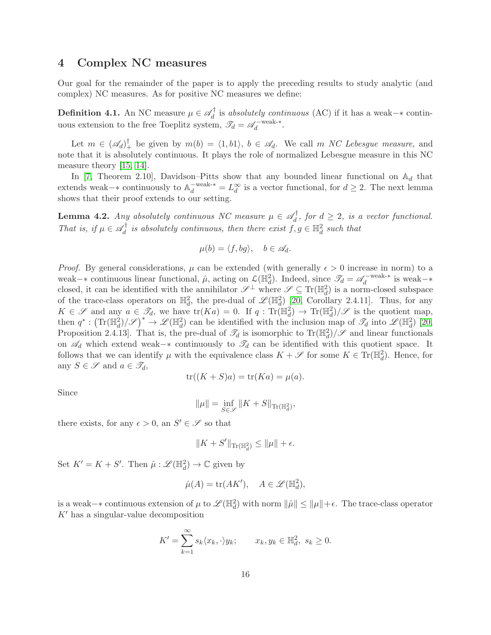## 4 Complex NC measures

Our goal for the remainder of the paper is to apply the preceding results to study analytic (and complex) NC measures. As for positive NC measures we define:

**Definition 4.1.** An NC measure  $\mu \in \mathscr{A}_d^{\dagger}$ d is *absolutely continuous* (AC) if it has a weak−∗ continuous extension to the free Toeplitz system,  $\mathcal{I}_d = \mathcal{A}_d^{-weak-*}$  $d$ <sup>-weak-\*</sup>.

Let  $m \in (\mathscr{A}_d)^{\dagger}$  be given by  $m(b) = \langle 1, b1 \rangle$ ,  $b \in \mathscr{A}_d$ . We call m *NC Lebesgue measure*, and note that it is absolutely continuous. It plays the role of normalized Lebesgue measure in this NC measure theory [\[15,](#page-27-0) [14\]](#page-27-1).

In [\[7,](#page-27-7) Theorem 2.10], Davidson–Pitts show that any bounded linear functional on  $\mathbb{A}_d$  that extends weak–∗ continuously to  $\mathbb{A}_d^{-\text{weak-*}} = L_d^{\infty}$  is a vector functional, for  $d \geq 2$ . The next lemma shows that their proof extends to our setting.

<span id="page-15-0"></span>**Lemma 4.2.** *Any absolutely continuous NC measure*  $\mu \in \mathscr{A}_d^{\dagger}$  $d^{\prime}$ , for  $d \geq 2$ , is a vector functional. *That is, if*  $\mu \in \mathscr{A}_d^{\dagger}$  $\mathscr{A}_d^{\dagger}$  is absolutely continuous, then there exist  $f, g \in \mathbb{H}_d^2$  such that

$$
\mu(b) = \langle f, bg \rangle, \quad b \in \mathscr{A}_d.
$$

*Proof.* By general considerations,  $\mu$  can be extended (with generally  $\epsilon > 0$  increase in norm) to a weak–∗ continuous linear functional,  $\hat{\mu}$ , acting on  $\mathcal{L}(\mathbb{H}_d^2)$ . Indeed, since  $\mathcal{I}_d = \mathcal{A}_d^{-\text{weak-*}}$  $\chi_d$ <sup>-weak-\*</sup> is weak-\* closed, it can be identified with the annihilator  $\mathscr{S}^{\perp}$  where  $\mathscr{S} \subseteq \text{Tr}(\mathbb{H}_d^2)$  is a norm-closed subspace of the trace-class operators on  $\mathbb{H}^2_d$ , the pre-dual of  $\mathscr{L}(\mathbb{H}^2_d)$  [\[20,](#page-27-14) Corollary 2.4.11]. Thus, for any  $K \in \mathscr{S}$  and any  $a \in \mathscr{I}_d$ , we have  $\text{tr}(Ka) = 0$ . If  $q: \text{Tr}(\mathbb{H}_d^2) \to \text{Tr}(\mathbb{H}_d^2)/\mathscr{S}$  is the quotient map, then  $q^*: (\text{Tr}(\mathbb{H}_d^2)/\mathscr{S})^* \to \mathscr{L}(\mathbb{H}_d^2)$  can be identified with the inclusion map of  $\mathscr{T}_d$  into  $\mathscr{L}(\mathbb{H}_d^2)$  [\[20,](#page-27-14) Proposition 2.4.13. That is, the pre-dual of  $\mathcal{I}_d$  is isomorphic to  $\text{Tr}(\mathbb{H}_d^2)/\mathscr{S}$  and linear functionals on  $\mathscr{A}_d$  which extend weak– $*$  continuously to  $\mathscr{T}_d$  can be identified with this quotient space. It follows that we can identify  $\mu$  with the equivalence class  $K + \mathscr{S}$  for some  $K \in \text{Tr}(\mathbb{H}_d^2)$ . Hence, for any  $S \in \mathscr{S}$  and  $a \in \mathscr{T}_d$ ,

$$
\operatorname{tr}((K+S)a) = \operatorname{tr}(Ka) = \mu(a).
$$

Since

$$
\|\mu\| = \inf_{S \in \mathscr{S}} \|K + S\|_{\mathrm{Tr}(\mathbb{H}_d^2)},
$$

there exists, for any  $\epsilon > 0$ , an  $S' \in \mathscr{S}$  so that

$$
||K+S'||_{\text{Tr}(\mathbb{H}_d^2)}\leq ||\mu||+\epsilon.
$$

Set  $K' = K + S'$ . Then  $\hat{\mu} : \mathscr{L}(\mathbb{H}_d^2) \to \mathbb{C}$  given by

$$
\hat{\mu}(A) = \text{tr}(AK'), \quad A \in \mathscr{L}(\mathbb{H}_d^2),
$$

is a weak–∗ continuous extension of  $\mu$  to  $\mathscr{L}(\mathbb{H}_d^2)$  with norm  $\|\hat{\mu}\| \le \|\mu\| + \epsilon$ . The trace-class operator  $K'$  has a singular-value decomposition

$$
K' = \sum_{k=1}^{\infty} s_k \langle x_k, \cdot \rangle y_k; \qquad x_k, y_k \in \mathbb{H}_d^2, \ s_k \ge 0.
$$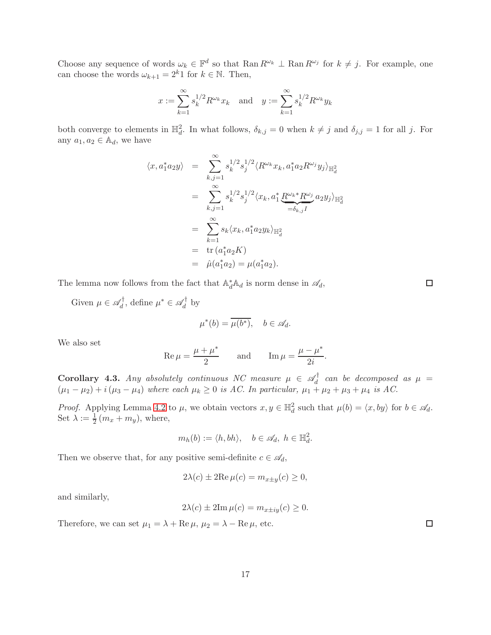Choose any sequence of words  $\omega_k \in \mathbb{F}^d$  so that  $\text{Ran } R^{\omega_k} \perp \text{Ran } R^{\omega_j}$  for  $k \neq j$ . For example, one can choose the words  $\omega_{k+1} = 2^k 1$  for  $k \in \mathbb{N}$ . Then,

$$
x := \sum_{k=1}^{\infty} s_k^{1/2} R^{\omega_k} x_k
$$
 and  $y := \sum_{k=1}^{\infty} s_k^{1/2} R^{\omega_k} y_k$ 

both converge to elements in  $\mathbb{H}_d^2$ . In what follows,  $\delta_{k,j} = 0$  when  $k \neq j$  and  $\delta_{j,j} = 1$  for all j. For any  $a_1, a_2 \in \mathbb{A}_d$ , we have

$$
\langle x, a_1^* a_2 y \rangle = \sum_{k,j=1}^{\infty} s_k^{1/2} s_j^{1/2} \langle R^{\omega_k} x_k, a_1^* a_2 R^{\omega_j} y_j \rangle_{\mathbb{H}_d^2}
$$
  

$$
= \sum_{k,j=1}^{\infty} s_k^{1/2} s_j^{1/2} \langle x_k, a_1^* \underbrace{R^{\omega_k *} R^{\omega_j}}_{=\delta_{k,j} I} a_2 y_j \rangle_{\mathbb{H}_d^2}
$$
  

$$
= \sum_{k=1}^{\infty} s_k \langle x_k, a_1^* a_2 y_k \rangle_{\mathbb{H}_d^2}
$$
  

$$
= \operatorname{tr}(a_1^* a_2 K)
$$
  

$$
= \hat{\mu}(a_1^* a_2) = \mu(a_1^* a_2).
$$

The lemma now follows from the fact that  $\mathbb{A}_d^* \mathbb{A}_d$  is norm dense in  $\mathscr{A}_d$ ,

Given  $\mu \in \mathscr{A}_d^{\dagger}$  $\mathcal{U}_d^{\dagger}$ , define  $\mu^* \in \mathcal{A}_d^{\dagger}$  $\int_d^{\pi}$  by

$$
\mu^*(b) = \overline{\mu(b^*)}, \quad b \in \mathscr{A}_d.
$$

We also set

$$
\operatorname{Re}\mu = \frac{\mu + \mu^*}{2} \quad \text{and} \quad \operatorname{Im}\mu = \frac{\mu - \mu^*}{2i}.
$$

<span id="page-16-0"></span>**Corollary 4.3.** *Any absolutely continuous NC measure*  $\mu \in \mathscr{A}_d^{\dagger}$  $d_d$  can be decomposed as  $\mu =$  $(\mu_1 - \mu_2) + i(\mu_3 - \mu_4)$  *where each*  $\mu_k \geq 0$  *is AC. In particular,*  $\mu_1 + \mu_2 + \mu_3 + \mu_4$  *is AC.* 

*Proof.* Applying Lemma [4.2](#page-15-0) to  $\mu$ , we obtain vectors  $x, y \in \mathbb{H}_d^2$  such that  $\mu(b) = \langle x, by \rangle$  for  $b \in \mathcal{A}_d$ . Set  $\lambda := \frac{1}{2} (m_x + m_y)$ , where,

$$
m_h(b) := \langle h, bh \rangle, \quad b \in \mathcal{A}_d, \ h \in \mathbb{H}_d^2.
$$

Then we observe that, for any positive semi-definite  $c \in \mathcal{A}_d$ ,

$$
2\lambda(c) \pm 2\text{Re}\,\mu(c) = m_{x \pm y}(c) \ge 0,
$$

and similarly,

$$
2\lambda(c) \pm 2\mathrm{Im}\,\mu(c) = m_{x \pm iy}(c) \ge 0.
$$

Therefore, we can set  $\mu_1 = \lambda + \text{Re}\,\mu$ ,  $\mu_2 = \lambda - \text{Re}\,\mu$ , etc.

 $\Box$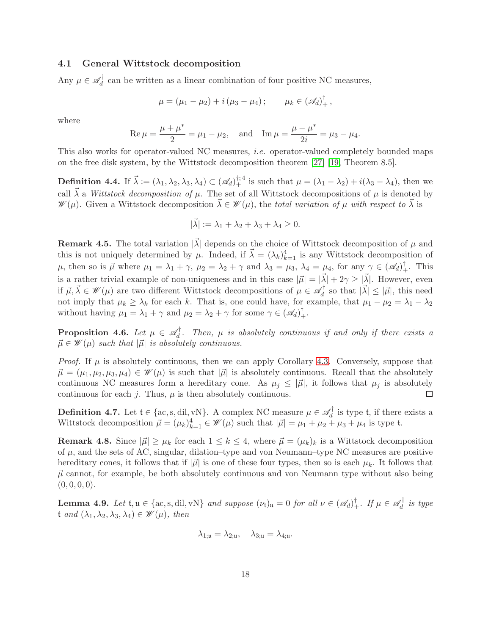### 4.1 General Wittstock decomposition

Any  $\mu \in \mathscr{A}_d^{\dagger}$  $d_d$  can be written as a linear combination of four positive NC measures,

$$
\mu = (\mu_1 - \mu_2) + i (\mu_3 - \mu_4); \qquad \mu_k \in (\mathscr{A}_d)^{\dagger}_+,
$$

where

$$
\operatorname{Re}\mu = \frac{\mu + \mu^*}{2} = \mu_1 - \mu_2
$$
, and  $\operatorname{Im}\mu = \frac{\mu - \mu^*}{2i} = \mu_3 - \mu_4$ .

This also works for operator-valued NC measures, *i.e.* operator-valued completely bounded maps on the free disk system, by the Wittstock decomposition theorem [\[27\]](#page-28-2) [\[19,](#page-27-15) Theorem 8.5].

**Definition 4.4.** If  $\vec{\lambda} := (\lambda_1, \lambda_2, \lambda_3, \lambda_4) \subset (\mathscr{A}_d)^{\dagger; 4}$  is such that  $\mu = (\lambda_1 - \lambda_2) + i(\lambda_3 - \lambda_4)$ , then we call  $\vec{\lambda}$  a *Wittstock decomposition of*  $\mu$ . The set of all Wittstock decompositions of  $\mu$  is denoted by  $\mathscr{W}(\mu)$ . Given a Wittstock decomposition  $\vec{\lambda} \in \mathscr{W}(\mu)$ , the *total variation of*  $\mu$  *with respect to*  $\vec{\lambda}$  is

$$
|\vec{\lambda}| := \lambda_1 + \lambda_2 + \lambda_3 + \lambda_4 \ge 0.
$$

**Remark 4.5.** The total variation  $|\vec{\lambda}|$  depends on the choice of Wittstock decomposition of  $\mu$  and this is not uniquely determined by  $\mu$ . Indeed, if  $\vec{\lambda} = (\lambda_k)_{k=1}^4$  is any Wittstock decomposition of  $\mu$ , then so is  $\vec{\mu}$  where  $\mu_1 = \lambda_1 + \gamma$ ,  $\mu_2 = \lambda_2 + \gamma$  and  $\lambda_3 = \mu_3$ ,  $\lambda_4 = \mu_4$ , for any  $\gamma \in (\mathscr{A}_d)^{\dagger}_+$ . This is a rather trivial example of non-uniqueness and in this case  $|\vec{\mu}| = |\vec{\lambda}| + 2\gamma \geq |\vec{\lambda}|$ . However, even if  $\vec{\mu}, \vec{\lambda} \in \mathscr{W}(\mu)$  are two different Wittstock decompositions of  $\mu \in \mathscr{A}_d^{\dagger}$  $\chi_d^{\dagger}$  so that  $|\vec{\lambda}| \leq |\vec{\mu}|$ , this need not imply that  $\mu_k \ge \lambda_k$  for each k. That is, one could have, for example, that  $\mu_1 - \mu_2 = \lambda_1 - \lambda_2$ without having  $\mu_1 = \lambda_1 + \gamma$  and  $\mu_2 = \lambda_2 + \gamma$  for some  $\gamma \in (\mathscr{A}_d)_+^{\dagger}$ .

<span id="page-17-0"></span>**Proposition 4.6.** Let  $\mu \in \mathscr{A}_d^{\dagger}$  $d_d'$ . Then,  $\mu$  is absolutely continuous if and only if there exists a  $\vec{\mu} \in \mathcal{W}(\mu)$  *such that*  $|\vec{\mu}|$  *is absolutely continuous.* 

*Proof.* If  $\mu$  is absolutely continuous, then we can apply Corollary [4.3.](#page-16-0) Conversely, suppose that  $\vec{\mu} = (\mu_1, \mu_2, \mu_3, \mu_4) \in \mathcal{W}(\mu)$  is such that  $|\vec{\mu}|$  is absolutely continuous. Recall that the absolutely continuous NC measures form a hereditary cone. As  $\mu_j \leq |\vec{\mu}|$ , it follows that  $\mu_j$  is absolutely continuous for each  $j$ . Thus,  $\mu$  is then absolutely continuous.  $\Box$ 

**Definition 4.7.** Let  $\mathfrak{t} \in \{\text{ac}, \text{s}, \text{dil}, \text{vN}\}\$ . A complex NC measure  $\mu \in \mathscr{A}_d^{\dagger}$  $d \atop d$  is type **t**, if there exists a Wittstock decomposition  $\vec{\mu} = (\mu_k)_{k=1}^4 \in \mathcal{W}(\mu)$  such that  $|\vec{\mu}| = \mu_1 + \mu_2 + \mu_3 + \mu_4$  is type t.

**Remark 4.8.** Since  $|\vec{\mu}| \geq \mu_k$  for each  $1 \leq k \leq 4$ , where  $\vec{\mu} = (\mu_k)_k$  is a Wittstock decomposition of  $\mu$ , and the sets of AC, singular, dilation–type and von Neumann–type NC measures are positive hereditary cones, it follows that if  $|\vec{\mu}|$  is one of these four types, then so is each  $\mu_k$ . It follows that  $\vec{\mu}$  cannot, for example, be both absolutely continuous and von Neumann type without also being  $(0, 0, 0, 0).$ 

**Lemma 4.9.** Let  $t, u \in \{ac, s, di, vN\}$  and suppose  $(\nu_t)_u = 0$  for all  $\nu \in (\mathscr{A}_d)^{\dagger}_+$ . If  $\mu \in \mathscr{A}_d^{\dagger}$ d *is type*  $t$  *and*  $(\lambda_1, \lambda_2, \lambda_3, \lambda_4) \in \mathcal{W}(\mu)$ *, then* 

$$
\lambda_{1;\mathfrak{u}} = \lambda_{2;\mathfrak{u}}, \quad \lambda_{3;\mathfrak{u}} = \lambda_{4;\mathfrak{u}}.
$$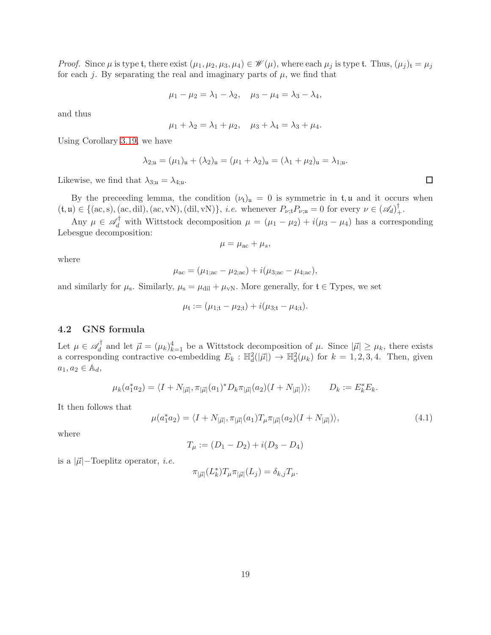*Proof.* Since  $\mu$  is type t, there exist  $(\mu_1, \mu_2, \mu_3, \mu_4) \in \mathcal{W}(\mu)$ , where each  $\mu_j$  is type t. Thus,  $(\mu_j)_t = \mu_j$ for each j. By separating the real and imaginary parts of  $\mu$ , we find that

$$
\mu_1 - \mu_2 = \lambda_1 - \lambda_2, \quad \mu_3 - \mu_4 = \lambda_3 - \lambda_4,
$$

and thus

$$
\mu_1 + \lambda_2 = \lambda_1 + \mu_2, \quad \mu_3 + \lambda_4 = \lambda_3 + \mu_4.
$$

Using Corollary [3.19,](#page-14-0) we have

$$
\lambda_{2;\mathfrak{u}} = (\mu_1)_{\mathfrak{u}} + (\lambda_2)_{\mathfrak{u}} = (\mu_1 + \lambda_2)_{\mathfrak{u}} = (\lambda_1 + \mu_2)_{\mathfrak{u}} = \lambda_{1;\mathfrak{u}}
$$

Likewise, we find that  $\lambda_{3;\mathfrak{u}} = \lambda_{4;\mathfrak{u}}$ .

By the preceeding lemma, the condition  $(\nu_t)_\mathfrak{u} = 0$  is symmetric in  $t, \mathfrak{u}$  and it occurs when  $(t, \mathfrak{u}) \in \{(\text{ac}, \text{s}), (\text{ac}, \text{dil}), (\text{ac}, \text{vN}), (\text{dil}, \text{vN})\},$  *i.e.* whenever  $P_{\nu; \mathfrak{t}} P_{\nu; \mathfrak{u}} = 0$  for every  $\nu \in (\mathcal{A}_d)_+^{\dagger}$ .

Any  $\mu \in \mathscr{A}_d^{\dagger}$  with Wittstock decomposition  $\mu = (\mu_1 - \mu_2) + i(\mu_3 - \mu_4)$  has a corresponding Lebesgue decomposition:

$$
\mu = \mu_{\rm ac} + \mu_s,
$$

where

$$
\mu_{ac} = (\mu_{1;ac} - \mu_{2;ac}) + i(\mu_{3;ac} - \mu_{4;ac}),
$$

and similarly for  $\mu_s$ . Similarly,  $\mu_s = \mu_{dil} + \mu_{vN}$ . More generally, for  $t \in \text{Types}$ , we set

$$
\mu_{\mathfrak{t}} := (\mu_{1;\mathfrak{t}} - \mu_{2;\mathfrak{t}}) + i(\mu_{3;\mathfrak{t}} - \mu_{4;\mathfrak{t}}).
$$

### <span id="page-18-0"></span>4.2 GNS formula

Let  $\mu \in \mathscr{A}_d^\dagger$  $\mu_d^{\dagger}$  and let  $\vec{\mu} = (\mu_k)_{k=1}^4$  be a Wittstock decomposition of  $\mu$ . Since  $|\vec{\mu}| \ge \mu_k$ , there exists a corresponding contractive co-embedding  $E_k : \mathbb{H}_d^2(|\vec{\mu}|) \to \mathbb{H}_d^2(\mu_k)$  for  $k = 1, 2, 3, 4$ . Then, given  $a_1, a_2 \in \mathbb{A}_d$ ,

$$
\mu_k(a_1^* a_2) = \langle I + N_{|\vec{\mu}|}, \pi_{|\vec{\mu}|}(a_1)^* D_k \pi_{|\vec{\mu}|}(a_2) (I + N_{|\vec{\mu}|}) \rangle; \qquad D_k := E_k^* E_k.
$$

It then follows that

$$
\mu(a_1^* a_2) = \langle I + N_{|\vec{\mu}|}, \pi_{|\vec{\mu}|}(a_1) T_{\mu} \pi_{|\vec{\mu}|}(a_2) (I + N_{|\vec{\mu}|}) \rangle, \tag{4.1}
$$

where

$$
T_{\mu} := (D_1 - D_2) + i(D_3 - D_4)
$$

is a  $|\vec{\mu}|$ -Toeplitz operator, *i.e.* 

$$
\pi_{|\vec{\mu}|}(L_k^*)T_{\mu}\pi_{|\vec{\mu}|}(L_j)=\delta_{k,j}T_{\mu}.
$$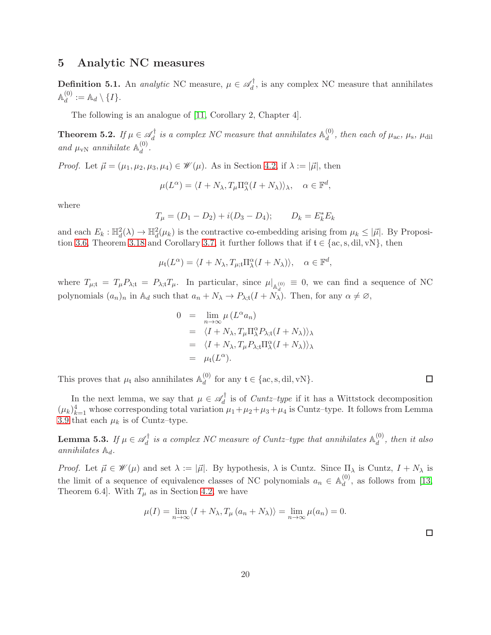## 5 Analytic NC measures

**Definition 5.1.** An *analytic* NC measure,  $\mu \in \mathscr{A}_d^{\dagger}$  $d_d$ , is any complex NC measure that annihilates  $\mathbb{A}^{(0)}$  $\mathcal{A}_{d}^{(0)}:=\mathbb{A}_{d}\setminus\{I\}.$ 

The following is an analogue of [\[11,](#page-27-4) Corollary 2, Chapter 4].

<span id="page-19-0"></span>Theorem 5.2. *If*  $\mu \in \mathscr{A}_d^{\dagger}$  $\mathcal{A}_d^{\dagger}$  is a complex NC measure that annihilates  $\mathbb{A}_d^{(0)}$  $\frac{d}{d}$ , then each of  $\mu_{\text{ac}}$ ,  $\mu_{\text{s}}$ ,  $\mu_{\text{dil}}$ and  $\mu_{\rm vN}$  annihilate  $\mathbb{A}_d^{(0)}$  $\frac{d}{d}$ .

*Proof.* Let  $\vec{\mu} = (\mu_1, \mu_2, \mu_3, \mu_4) \in \mathcal{W}(\mu)$ . As in Section [4.2,](#page-18-0) if  $\lambda := |\vec{\mu}|$ , then

$$
\mu(L^{\alpha}) = \langle I + N_{\lambda}, T_{\mu} \Pi^{\alpha}_{\lambda} (I + N_{\lambda}) \rangle_{\lambda}, \quad \alpha \in \mathbb{F}^{d},
$$

where

$$
T_{\mu} = (D_1 - D_2) + i(D_3 - D_4); \qquad D_k = E_k^* E_k
$$

and each  $E_k : \mathbb{H}_d^2(\lambda) \to \mathbb{H}_d^2(\mu_k)$  is the contractive co-embedding arising from  $\mu_k \leq |\vec{\mu}|$ . By Proposi-tion [3.6,](#page-10-2) Theorem [3.18](#page-13-0) and Corollary [3.7,](#page-10-3) it further follows that if  $t \in \{\text{ac}, \text{s}, \text{dil}, \text{vN}\}\,$  then

$$
\mu_{\mathfrak{t}}(L^{\alpha}) = \langle I + N_{\lambda}, T_{\mu; \mathfrak{t}} \Pi^{\alpha}_{\lambda} (I + N_{\lambda}) \rangle, \quad \alpha \in \mathbb{F}^{d},
$$

where  $T_{\mu;\mathfrak{t}} = T_{\mu} P_{\lambda;\mathfrak{t}} = P_{\lambda;\mathfrak{t}} T_{\mu}.$  In particular, since  $\mu|_{\mathbb{A}^{(0)}} \equiv 0$ , we can find a sequence of NC polynomials  $(a_n)_n$  in  $\mathbb{A}_d$  such that  $a_n + N_\lambda \to P_{\lambda; \mathfrak{t}}(I + N_\lambda)$ . Then, for any  $\alpha \neq \emptyset$ ,

$$
0 = \lim_{n \to \infty} \mu(L^{\alpha} a_n)
$$
  
=  $\langle I + N_{\lambda}, T_{\mu} \Pi^{\alpha}_{\lambda} P_{\lambda; t} (I + N_{\lambda}) \rangle_{\lambda}$   
=  $\langle I + N_{\lambda}, T_{\mu} P_{\lambda; t} \Pi^{\alpha}_{\lambda} (I + N_{\lambda}) \rangle_{\lambda}$   
=  $\mu_t(L^{\alpha}).$ 

This proves that  $\mu_{\text{t}}$  also annihilates  $\mathbb{A}_d^{(0)}$  $d_d^{\text{(0)}}$  for any  $\mathfrak{t} \in \{\text{ac}, \text{s}, \text{dil}, \text{vN}\}.$ 

In the next lemma, we say that  $\mu \in \mathscr{A}_d^{\dagger}$  $d_d$  is of *Cuntz-type* if it has a Wittstock decomposition  $(\mu_k)_{k=1}^4$  whose corresponding total variation  $\mu_1 + \mu_2 + \mu_3 + \mu_4$  is Cuntz-type. It follows from Lemma [3.9](#page-10-4) that each  $\mu_k$  is of Cuntz–type.

<span id="page-19-1"></span>Lemma 5.3. *If*  $\mu \in \mathscr{A}_d^\dagger$  $\mathcal{A}_d^{\dagger}$  is a complex NC measure of Cuntz-type that annihilates  $\mathbb{A}_d^{(0)}$  $\binom{0}{d}$ , then it also *annihilates*  $\mathbb{A}_d$ *.* 

*Proof.* Let  $\vec{\mu} \in \mathcal{W}(\mu)$  and set  $\lambda := |\vec{\mu}|$ . By hypothesis,  $\lambda$  is Cuntz. Since  $\Pi_{\lambda}$  is Cuntz,  $I + N_{\lambda}$  is the limit of a sequence of equivalence classes of NC polynomials  $a_n \in \mathbb{A}_d^{(0)}$  $\mathcal{L}_d^{(0)}$ , as follows from [\[13,](#page-27-16) Theorem 6.4]. With  $T_{\mu}$  as in Section [4.2,](#page-18-0) we have

$$
\mu(I) = \lim_{n \to \infty} \langle I + N_{\lambda}, T_{\mu} (a_n + N_{\lambda}) \rangle = \lim_{n \to \infty} \mu(a_n) = 0.
$$

 $\Box$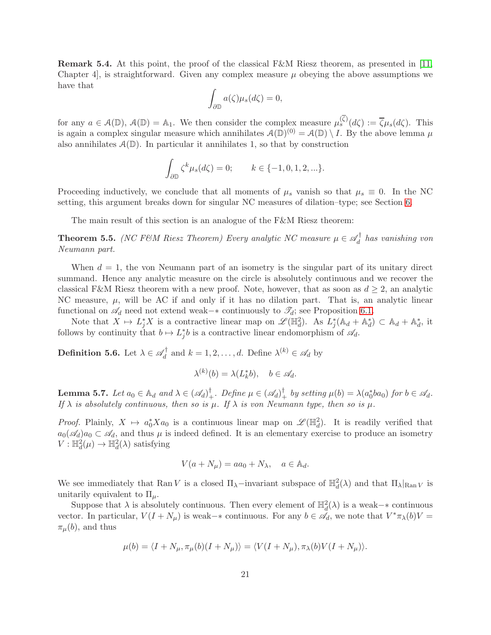<span id="page-20-1"></span>**Remark 5.4.** At this point, the proof of the classical  $F\&M$  Riesz theorem, as presented in [\[11,](#page-27-4) Chapter 4, is straightforward. Given any complex measure  $\mu$  obeying the above assumptions we have that

$$
\int_{\partial \mathbb{D}} a(\zeta) \mu_s(d\zeta) = 0,
$$

for any  $a \in \mathcal{A}(\mathbb{D})$ ,  $\mathcal{A}(\mathbb{D}) = \mathbb{A}_1$ . We then consider the complex measure  $\mu_s^{(\zeta)}(d\zeta) := \overline{\zeta}\mu_s(d\zeta)$ . This is again a complex singular measure which annihilates  $\mathcal{A}(\mathbb{D})^{(0)} = \mathcal{A}(\mathbb{D}) \setminus I$ . By the above lemma  $\mu$ also annihilates  $\mathcal{A}(\mathbb{D})$ . In particular it annihilates 1, so that by construction

$$
\int_{\partial \mathbb{D}} \zeta^k \mu_s(d\zeta) = 0; \qquad k \in \{-1, 0, 1, 2, \ldots\}.
$$

Proceeding inductively, we conclude that all moments of  $\mu_s$  vanish so that  $\mu_s \equiv 0$ . In the NC setting, this argument breaks down for singular NC measures of dilation–type; see Section [6.](#page-24-0)

The main result of this section is an analogue of the F&M Riesz theorem:

<span id="page-20-0"></span>**Theorem 5.5.** *(NC F&M Riesz Theorem) Every analytic NC measure*  $\mu \in \mathscr{A}_d^{\dagger}$ d *has vanishing von Neumann part.*

When  $d = 1$ , the von Neumann part of an isometry is the singular part of its unitary direct summand. Hence any analytic measure on the circle is absolutely continuous and we recover the classical F&M Riesz theorem with a new proof. Note, however, that as soon as  $d \geq 2$ , an analytic NC measure,  $\mu$ , will be AC if and only if it has no dilation part. That is, an analytic linear functional on  $\mathscr{A}_d$  need not extend weak–∗ continuously to  $\mathscr{T}_d$ ; see Proposition [6.1.](#page-26-5)

Note that  $X \mapsto L_j^* X$  is a contractive linear map on  $\mathscr{L}(\mathbb{H}_d^2)$ . As  $L_j^*(\mathbb{A}_d + \mathbb{A}_d^*) \subset \mathbb{A}_d + \mathbb{A}_d^*$ , it follows by continuity that  $b \mapsto L_j^*b$  is a contractive linear endomorphism of  $\mathscr{A}_d$ .

**Definition 5.6.** Let  $\lambda \in \mathscr{A}_d^{\dagger}$  $\chi_d^{\dagger}$  and  $k = 1, 2, ..., d$ . Define  $\lambda^{(k)} \in \mathscr{A}_d$  by

$$
\lambda^{(k)}(b) = \lambda(L_k^*b), \quad b \in \mathscr{A}_d.
$$

<span id="page-20-2"></span>**Lemma 5.7.** Let  $a_0 \in \mathbb{A}_d$  and  $\lambda \in (\mathscr{A}_d)^{\dagger}$ . Define  $\mu \in (\mathscr{A}_d)^{\dagger}$  by setting  $\mu(b) = \lambda(a_0^*ba_0)$  for  $b \in \mathscr{A}_d$ . *If*  $\lambda$  *is absolutely continuous, then so is*  $\mu$ *. If*  $\lambda$  *is von Neumann type, then so is*  $\mu$ *.* 

*Proof.* Plainly,  $X \mapsto a_0^* X a_0$  is a continuous linear map on  $\mathscr{L}(\mathbb{H}_d^2)$ . It is readily verified that  $a_0(\mathscr{A}_d)a_0 \subset \mathscr{A}_d$ , and thus  $\mu$  is indeed defined. It is an elementary exercise to produce an isometry  $V: \mathbb{H}_d^2(\mu) \to \mathbb{H}_d^2(\lambda)$  satisfying

$$
V(a + N_{\mu}) = aa_0 + N_{\lambda}, \quad a \in \mathbb{A}_d.
$$

We see immediately that Ran V is a closed  $\Pi_{\lambda}$ -invariant subspace of  $\mathbb{H}^2_d(\lambda)$  and that  $\Pi_{\lambda}|_{\text{Ran }V}$  is unitarily equivalent to  $\Pi_{\mu}$ .

Suppose that  $\lambda$  is absolutely continuous. Then every element of  $\mathbb{H}^2_d(\lambda)$  is a weak- $*$  continuous vector. In particular,  $V(I + N_{\mu})$  is weak– $*$  continuous. For any  $b \in \mathscr{A}_d$ , we note that  $V^*\pi_{\lambda}(b)V =$  $\pi_\mu(b)$ , and thus

$$
\mu(b) = \langle I + N_{\mu}, \pi_{\mu}(b)(I + N_{\mu}) \rangle = \langle V(I + N_{\mu}), \pi_{\lambda}(b)V(I + N_{\mu}) \rangle.
$$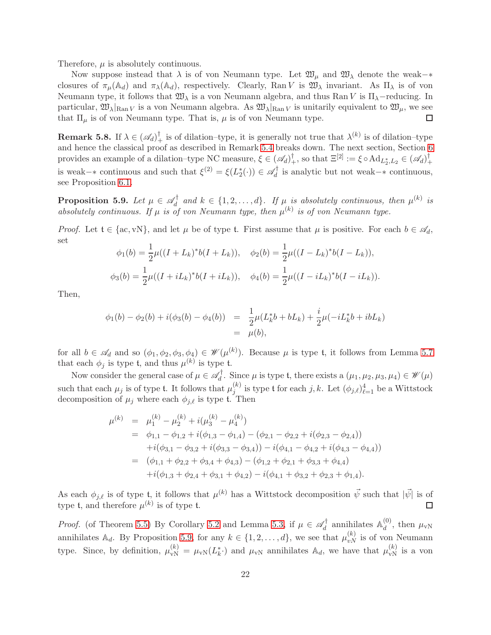Therefore,  $\mu$  is absolutely continuous.

Now suppose instead that  $\lambda$  is of von Neumann type. Let  $\mathfrak{W}_{\mu}$  and  $\mathfrak{W}_{\lambda}$  denote the weak– $*$ closures of  $\pi_\mu(\mathbb{A}_d)$  and  $\pi_\lambda(\mathbb{A}_d)$ , respectively. Clearly, Ran V is  $\mathfrak{W}_\lambda$  invariant. As  $\Pi_\lambda$  is of von Neumann type, it follows that  $\mathfrak{W}_{\lambda}$  is a von Neumann algebra, and thus Ran V is  $\Pi_{\lambda}$ -reducing. In particular,  $\mathfrak{W}_{\lambda}|_{\text{Ran }V}$  is a von Neumann algebra. As  $\mathfrak{W}_{\lambda}|_{\text{Ran }V}$  is unitarily equivalent to  $\mathfrak{W}_{\mu}$ , we see that  $\Pi_{\mu}$  is of von Neumann type. That is,  $\mu$  is of von Neumann type.  $\Box$ 

**Remark 5.8.** If  $\lambda \in (\mathscr{A}_d)^{\dagger}$  is of dilation-type, it is generally not true that  $\lambda^{(k)}$  is of dilation-type and hence the classical proof as described in Remark [5.4](#page-20-1) breaks down. The next section, Section [6](#page-24-0) provides an example of a dilation–type NC measure,  $\xi \in (\mathscr{A}_d)^\dagger_+$ , so that  $\Xi^{[2]} := \xi \circ \text{Ad}_{L_2^*, L_2} \in (\mathscr{A}_d)^\dagger_+$ + is weak– $*$  continuous and such that  $\xi^{(2)} = \xi(L_2^*(\cdot)) \in \mathcal{A}_d^{\dagger}$  $d_d$  is analytic but not weak– $*$  continuous, see Proposition [6.1.](#page-26-5)

<span id="page-21-0"></span>Proposition 5.9. Let  $\mu \in \mathscr{A}_d^\dagger$  $\mathcal{A}_d^{\dagger}$  and  $k \in \{1, 2, ..., d\}$ . If  $\mu$  is absolutely continuous, then  $\mu^{(k)}$  is absolutely continuous. If  $\mu$  is of von Neumann type, then  $\mu^{(k)}$  is of von Neumann type.

*Proof.* Let  $t \in \{\text{ac}, \text{vN}\}\$ , and let  $\mu$  be of type t. First assume that  $\mu$  is positive. For each  $b \in \mathscr{A}_d$ , set

$$
\phi_1(b) = \frac{1}{2}\mu((I + L_k)^*b(I + L_k)), \quad \phi_2(b) = \frac{1}{2}\mu((I - L_k)^*b(I - L_k)),
$$
  

$$
\phi_3(b) = \frac{1}{2}\mu((I + iL_k)^*b(I + iL_k)), \quad \phi_4(b) = \frac{1}{2}\mu((I - iL_k)^*b(I - iL_k)).
$$

Then,

$$
\begin{array}{rcl}\n\phi_1(b) - \phi_2(b) + i(\phi_3(b) - \phi_4(b)) & = & \frac{1}{2}\mu(L_k^*b + bL_k) + \frac{i}{2}\mu(-iL_k^*b + ibL_k) \\
& = & \mu(b),\n\end{array}
$$

for all  $b \in \mathscr{A}_d$  and so  $(\phi_1, \phi_2, \phi_3, \phi_4) \in \mathscr{W}(\mu^{(k)})$ . Because  $\mu$  is type t, it follows from Lemma [5.7](#page-20-2) that each  $\phi_j$  is type t, and thus  $\mu^{(k)}$  is type t.

Now consider the general case of  $\mu \in \mathscr{A}_d^{\dagger}$  $\mathcal{U}_d^{\dagger}$ . Since  $\mu$  is type t, there exists a  $(\mu_1, \mu_2, \mu_3, \mu_4) \in \mathcal{W}(\mu)$ such that each  $\mu_j$  is of type t. It follows that  $\mu_i^{(k)}$  $j^{(k)}$  is type t for each  $j, k$ . Let  $(\phi_{j,\ell})_{\ell=1}^4$  be a Wittstock decomposition of  $\mu_j$  where each  $\phi_{j,\ell}$  is type t. Then

$$
\mu^{(k)} = \mu_1^{(k)} - \mu_2^{(k)} + i(\mu_3^{(k)} - \mu_4^{(k)})
$$
\n
$$
= \phi_{1,1} - \phi_{1,2} + i(\phi_{1,3} - \phi_{1,4}) - (\phi_{2,1} - \phi_{2,2} + i(\phi_{2,3} - \phi_{2,4}))
$$
\n
$$
+ i(\phi_{3,1} - \phi_{3,2} + i(\phi_{3,3} - \phi_{3,4})) - i(\phi_{4,1} - \phi_{4,2} + i(\phi_{4,3} - \phi_{4,4}))
$$
\n
$$
= (\phi_{1,1} + \phi_{2,2} + \phi_{3,4} + \phi_{4,3}) - (\phi_{1,2} + \phi_{2,1} + \phi_{3,3} + \phi_{4,4})
$$
\n
$$
+ i(\phi_{1,3} + \phi_{2,4} + \phi_{3,1} + \phi_{4,2}) - i(\phi_{4,1} + \phi_{3,2} + \phi_{2,3} + \phi_{1,4}).
$$

As each  $\phi_{j,\ell}$  is of type t, it follows that  $\mu^{(k)}$  has a Wittstock decomposition  $\vec{\psi}$  such that  $|\vec{\psi}|$  is of type t, and therefore  $\mu^{(k)}$  is of type t. □

*Proof.* (of Theorem [5.5\)](#page-20-0) By Corollary [5.2](#page-19-0) and Lemma [5.3,](#page-19-1) if  $\mu \in \mathscr{A}_d^{\dagger}$  $\mathcal{A}_d^{\dagger}$  annihilates  $\mathbb{A}_d^{(0)}$  $\mu_{d}^{(0)}$ , then  $\mu_{vN}$ annihilates  $\mathbb{A}_d$ . By Proposition [5.9,](#page-21-0) for any  $k \in \{1, 2, ..., d\}$ , we see that  $\mu_{vN}^{(k)}$  is of von Neumann type. Since, by definition,  $\mu_{vN}^{(k)} = \mu_{vN}(L_k^*)$  and  $\mu_{vN}$  annihilates  $\mathbb{A}_d$ , we have that  $\mu_{vN}^{(k)}$  is a von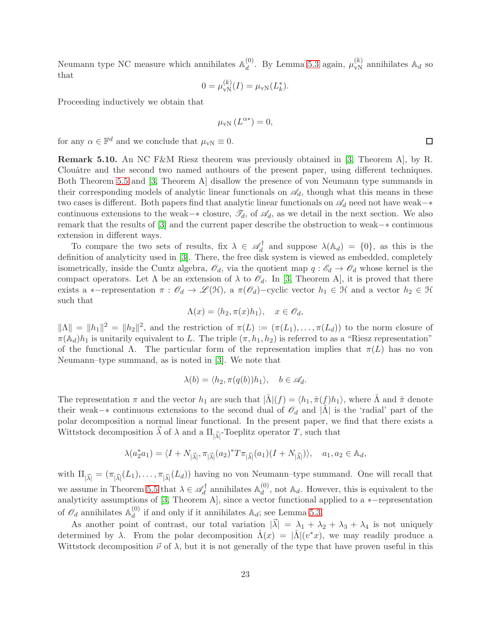Neumann type NC measure which annihilates  $\mathbb{A}_d^{(0)}$  $\mu_d^{(0)}$ . By Lemma [5.3](#page-19-1) again,  $\mu_{vN}^{(k)}$  annihilates  $\mathbb{A}_d$  so that

$$
0 = \mu_{\rm vN}^{(k)}(I) = \mu_{\rm vN}(L_k^*).
$$

Proceeding inductively we obtain that

$$
\mu_{\rm vN}\left(L^{\alpha*}\right) = 0,
$$

for any  $\alpha \in \mathbb{F}^d$  and we conclude that  $\mu_{vN} \equiv 0$ .

<span id="page-22-0"></span>Remark 5.10. An NC F&M Riesz theorem was previously obtained in [\[3,](#page-26-1) Theorem A], by R. Clouâtre and the second two named authours of the present paper, using different techniques. Both Theorem [5.5](#page-20-0) and [\[3,](#page-26-1) Theorem A] disallow the presence of von Neumann type summands in their corresponding models of analytic linear functionals on  $\mathscr{A}_d$ , though what this means in these two cases is different. Both papers find that analytic linear functionals on  $\mathscr{A}_d$  need not have weak–∗ continuous extensions to the weak–∗ closure,  $\mathcal{I}_d$ , of  $\mathcal{A}_d$ , as we detail in the next section. We also remark that the results of [\[3\]](#page-26-1) and the current paper describe the obstruction to weak−∗ continuous extension in different ways.

To compare the two sets of results, fix  $\lambda \in \mathscr{A}_d^{\dagger}$  $\chi_d^{\dagger}$  and suppose  $\lambda(\mathbb{A}_d) = \{0\}$ , as this is the definition of analyticity used in [\[3\]](#page-26-1). There, the free disk system is viewed as embedded, completely isometrically, inside the Cuntz algebra,  $\mathscr{O}_d$ , via the quotient map  $q : \mathscr{E}_d \to \mathscr{O}_d$  whose kernel is the compact operators. Let  $\Lambda$  be an extension of  $\lambda$  to  $\mathcal{O}_d$ . In [\[3,](#page-26-1) Theorem A], it is proved that there exists a ∗−representation  $\pi : \mathscr{O}_d \to \mathscr{L}(\mathfrak{H})$ , a  $\pi(\mathscr{O}_d)$ −cyclic vector  $h_1 \in \mathfrak{H}$  and a vector  $h_2 \in \mathfrak{H}$ such that

$$
\Lambda(x) = \langle h_2, \pi(x)h_1 \rangle, \quad x \in \mathscr{O}_d,
$$

 $\|\Lambda\| = \|h_1\|^2 = \|h_2\|^2$ , and the restriction of  $\pi(L) := (\pi(L_1), \ldots, \pi(L_d))$  to the norm closure of  $\pi(\mathbb{A}_d)h_1$  is unitarily equivalent to L. The triple  $(\pi, h_1, h_2)$  is referred to as a "Riesz representation" of the functional  $\Lambda$ . The particular form of the representation implies that  $\pi(L)$  has no von Neumann–type summand, as is noted in [\[3\]](#page-26-1). We note that

$$
\lambda(b) = \langle h_2, \pi(q(b))h_1 \rangle, \quad b \in \mathscr{A}_d.
$$

The representation  $\pi$  and the vector  $h_1$  are such that  $|\tilde{\Lambda}|(f) = \langle h_1, \hat{\pi}(f)h_1 \rangle$ , where  $\tilde{\Lambda}$  and  $\hat{\pi}$  denote their weak– $*$  continuous extensions to the second dual of  $\mathcal{O}_d$  and  $|\tilde{\Lambda}|$  is the 'radial' part of the polar decomposition a normal linear functional. In the present paper, we find that there exists a Wittstock decomposition  $\vec{\lambda}$  of  $\lambda$  and a  $\Pi_{|\vec{\lambda}|}$ -Toeplitz operator T, such that

$$
\lambda(a_2^*a_1) = \langle I + N_{|\vec{\lambda}|}, \pi_{|\vec{\lambda}|}(a_2)^*T\pi_{|\vec{\lambda}|}(a_1)(I + N_{|\vec{\lambda}|})\rangle, \quad a_1, a_2 \in \mathbb{A}_d,
$$

with  $\Pi_{|\vec{\lambda}|} = (\pi_{|\vec{\lambda}|}(L_1), \dots, \pi_{|\vec{\lambda}|}(L_d))$  having no von Neumann-type summand. One will recall that we assume in Theorem [5.5](#page-20-0) that  $\lambda \in \mathscr{A}_d^{\dagger}$  $\mathcal{A}_d^{\dagger}$  annihilates  $\mathbb{A}_d^{(0)}$  $\mathcal{A}_d^{(0)}$ , not  $\mathbb{A}_d$ . However, this is equivalent to the analyticity assumptions of [\[3,](#page-26-1) Theorem A], since a vector functional applied to a ∗ $-$ representation of  $\mathscr{O}_d$  annihilates  $\mathbb{A}_d^{(0)}$  $\mathcal{A}_d^{(0)}$  if and only if it annihilates  $\mathbb{A}_d$ ; see Lemma [5.3.](#page-19-1)

As another point of contrast, our total variation  $|\vec{\lambda}| = \lambda_1 + \lambda_2 + \lambda_3 + \lambda_4$  is not uniquely determined by  $\lambda$ . From the polar decomposition  $\hat{\Lambda}(x) = |\hat{\Lambda}|(v^*x)$ , we may readily produce a Wittstock decomposition  $\vec{\nu}$  of  $\lambda$ , but it is not generally of the type that have proven useful in this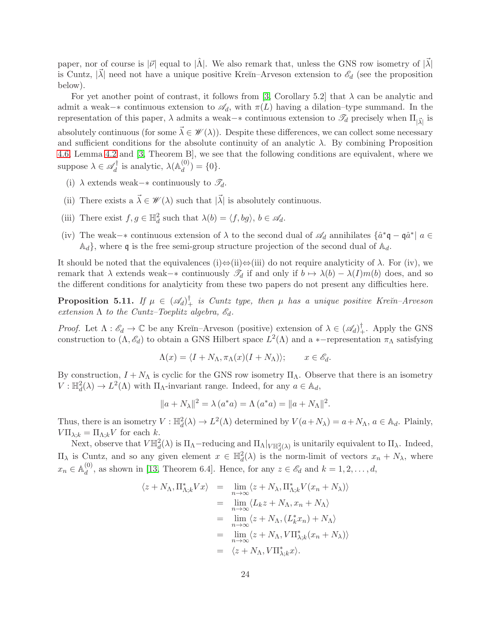paper, nor of course is  $|\vec{\nu}|$  equal to  $|\hat{\Lambda}|$ . We also remark that, unless the GNS row isometry of  $|\vec{\lambda}|$ is Cuntz,  $|\vec{\lambda}|$  need not have a unique positive Kreĭn–Arveson extension to  $\mathscr{E}_d$  (see the proposition below).

For yet another point of contrast, it follows from [\[3,](#page-26-1) Corollary 5.2] that  $\lambda$  can be analytic and admit a weak– $*$  continuous extension to  $\mathscr{A}_d$ , with  $\pi(L)$  having a dilation–type summand. In the representation of this paper,  $\lambda$  admits a weak– $*$  continuous extension to  $\mathscr{T}_d$  precisely when  $\Pi_{|\vec{\lambda}|}$  is absolutely continuous (for some  $\vec{\lambda} \in \mathscr{W}(\lambda)$ ). Despite these differences, we can collect some necessary and sufficient conditions for the absolute continuity of an analytic  $\lambda$ . By combining Proposition [4.6,](#page-17-0) Lemma [4.2](#page-15-0) and [\[3,](#page-26-1) Theorem B], we see that the following conditions are equivalent, where we suppose  $\lambda \in \mathscr{A}_d^\dagger$  $\chi_d^{\dagger}$  is analytic,  $\lambda$ ( $\mathbb{A}_d^{(0)}$ )  $\binom{0}{d} = \{0\}.$ 

- (i)  $\lambda$  extends weak– $*$  continuously to  $\mathscr{T}_d$ .
- (ii) There exists a  $\vec{\lambda} \in \mathscr{W}(\lambda)$  such that  $|\vec{\lambda}|$  is absolutely continuous.
- (iii) There exist  $f, g \in \mathbb{H}_d^2$  such that  $\lambda(b) = \langle f, bg \rangle, b \in \mathscr{A}_d$ .
- (iv) The weak–\* continuous extension of  $\lambda$  to the second dual of  $\mathscr{A}_d$  annihilates  $\{\hat{a}^*\mathfrak{q} \mathfrak{q}\hat{a}^*\}\$  a  $\in$  $\mathbb{A}_d$ , where q is the free semi-group structure projection of the second dual of  $\mathbb{A}_d$ .

It should be noted that the equivalences (i)⇔(ii)⇔(iii) do not require analyticity of  $\lambda$ . For (iv), we remark that  $\lambda$  extends weak– $*$  continuously  $\mathcal{T}_d$  if and only if  $b \mapsto \lambda(b) - \lambda(I)m(b)$  does, and so the different conditions for analyticity from these two papers do not present any difficulties here.

**Proposition 5.11.** If  $\mu \in (\mathscr{A}_d)^{\dagger}$  is Cuntz type, then  $\mu$  has a unique positive Kre $\check{n}$ -Arveson *extension*  $\Lambda$  *to the Cuntz–Toeplitz algebra,*  $\mathcal{E}_d$ .

*Proof.* Let  $\Lambda : \mathscr{E}_d \to \mathbb{C}$  be any Kreĭn-Arveson (positive) extension of  $\lambda \in (\mathscr{A}_d)_+^{\dagger}$ . Apply the GNS construction to  $(\Lambda, \mathscr{E}_d)$  to obtain a GNS Hilbert space  $L^2(\Lambda)$  and a \*-representation  $\pi_\Lambda$  satisfying

$$
\Lambda(x) = \langle I + N_{\Lambda}, \pi_{\Lambda}(x)(I + N_{\Lambda}) \rangle; \qquad x \in \mathscr{E}_d.
$$

By construction,  $I + N_\Lambda$  is cyclic for the GNS row isometry  $\Pi_\Lambda$ . Observe that there is an isometry  $V: \mathbb{H}_d^2(\lambda) \to L^2(\Lambda)$  with  $\Pi_{\Lambda}$ -invariant range. Indeed, for any  $a \in \mathbb{A}_d$ ,

$$
||a + N_{\lambda}||^{2} = \lambda (a^{*} a) = \Lambda (a^{*} a) = ||a + N_{\Lambda}||^{2}.
$$

Thus, there is an isometry  $V : \mathbb{H}_d^2(\lambda) \to L^2(\Lambda)$  determined by  $V(a+N_\lambda) = a+N_\Lambda, a \in \mathbb{A}_d$ . Plainly,  $V\Pi_{\lambda;k} = \Pi_{\Lambda;k} V$  for each k.

Next, observe that  $V\mathbb{H}_d^2(\lambda)$  is  $\Pi_{\Lambda}$ -reducing and  $\Pi_{\Lambda}|_{V\mathbb{H}_d^2(\lambda)}$  is unitarily equivalent to  $\Pi_{\lambda}$ . Indeed,  $\Pi_{\lambda}$  is Cuntz, and so any given element  $x \in \mathbb{H}^2_d(\lambda)$  is the norm-limit of vectors  $x_n + N_{\lambda}$ , where  $x_n \in \mathbb{A}_d^{(0)}$  $\mathcal{L}_d^{(0)}$ , as shown in [\[13,](#page-27-16) Theorem 6.4]. Hence, for any  $z \in \mathscr{E}_d$  and  $k = 1, 2, \ldots, d$ ,

$$
\langle z + N_{\Lambda}, \Pi_{\Lambda;k}^* V x \rangle = \lim_{n \to \infty} \langle z + N_{\lambda}, \Pi_{\Lambda;k}^* V (x_n + N_{\lambda}) \rangle
$$
  
\n
$$
= \lim_{n \to \infty} \langle L_k z + N_{\Lambda}, x_n + N_{\Lambda} \rangle
$$
  
\n
$$
= \lim_{n \to \infty} \langle z + N_{\Lambda}, (L_k^* x_n) + N_{\Lambda} \rangle
$$
  
\n
$$
= \lim_{n \to \infty} \langle z + N_{\Lambda}, V \Pi_{\lambda;k}^* (x_n + N_{\lambda}) \rangle
$$
  
\n
$$
= \langle z + N_{\Lambda}, V \Pi_{\lambda;k}^* x \rangle.
$$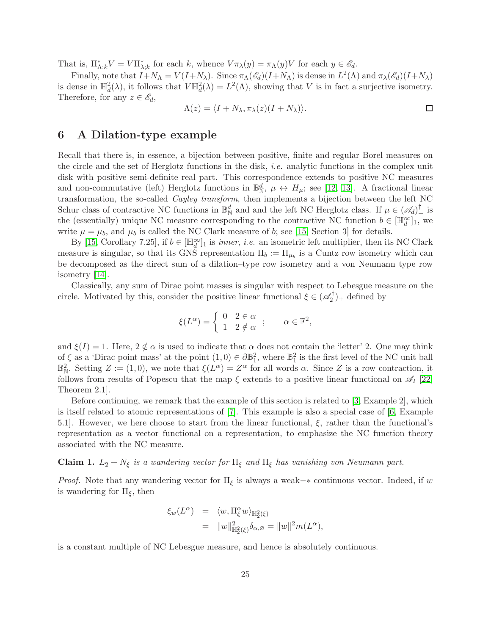That is,  $\Pi_{\Lambda;k}^* V = V \Pi_{\lambda;k}^*$  for each k, whence  $V \pi_\lambda(y) = \pi_\Lambda(y) V$  for each  $y \in \mathscr{E}_d$ .

Finally, note that  $I + N_{\Lambda} = V(I + N_{\lambda})$ . Since  $\pi_{\Lambda}(\mathscr{E}_d)(I + N_{\Lambda})$  is dense in  $L^2(\Lambda)$  and  $\pi_{\lambda}(\mathscr{E}_d)(I + N_{\lambda})$ is dense in  $\mathbb{H}^2_d(\lambda)$ , it follows that  $V \mathbb{H}^2_d(\lambda) = L^2(\Lambda)$ , showing that V is in fact a surjective isometry. Therefore, for any  $z \in \mathscr{E}_d$ ,

$$
\Lambda(z) = \langle I + N_{\lambda}, \pi_{\lambda}(z)(I + N_{\lambda}) \rangle.
$$

### <span id="page-24-0"></span>6 A Dilation-type example

Recall that there is, in essence, a bijection between positive, finite and regular Borel measures on the circle and the set of Herglotz functions in the disk, *i.e.* analytic functions in the complex unit disk with positive semi-definite real part. This correspondence extends to positive NC measures and non-commutative (left) Herglotz functions in  $\mathbb{B}_N^d$ ,  $\mu \leftrightarrow H_\mu$ ; see [\[12,](#page-27-11) [13\]](#page-27-16). A fractional linear transformation, the so-called *Cayley transform*, then implements a bijection between the left NC Schur class of contractive NC functions in  $\mathbb{B}_{\mathbb{N}}^d$  and and the left NC Herglotz class. If  $\mu \in (\mathscr{A}_d)_+^{\dagger}$  is the (essentially) unique NC measure corresponding to the contractive NC function  $b \in [\mathbb{H}_d^{\infty}]_1$ , we write  $\mu = \mu_b$ , and  $\mu_b$  is called the NC Clark measure of b; see [\[15,](#page-27-0) Section 3] for details.

By [\[15,](#page-27-0) Corollary 7.25], if  $b \in [\mathbb{H}_d^{\infty}]_1$  is *inner*, *i.e.* an isometric left multiplier, then its NC Clark measure is singular, so that its GNS representation  $\Pi_b := \Pi_{\mu_b}$  is a Cuntz row isometry which can be decomposed as the direct sum of a dilation–type row isometry and a von Neumann type row isometry [\[14\]](#page-27-1).

Classically, any sum of Dirac point masses is singular with respect to Lebesgue measure on the circle. Motivated by this, consider the positive linear functional  $\xi \in (\mathscr{A}_2^{\dagger})$  $2^{\prime\prime}$ <sub>2</sub> defined by

$$
\xi(L^{\alpha}) = \begin{cases} 0 & 2 \in \alpha \\ 1 & 2 \notin \alpha \end{cases}; \qquad \alpha \in \mathbb{F}^{2},
$$

and  $\xi(I) = 1$ . Here,  $2 \notin \alpha$  is used to indicate that  $\alpha$  does not contain the 'letter' 2. One may think of  $\xi$  as a 'Dirac point mass' at the point  $(1,0) \in \partial \mathbb{B}^2_1$ , where  $\mathbb{B}^2_1$  is the first level of the NC unit ball  $\mathbb{B}^2_{\mathbb{N}}$ . Setting  $Z := (1,0)$ , we note that  $\xi(L^{\alpha}) = Z^{\alpha}$  for all words  $\alpha$ . Since Z is a row contraction, it follows from results of Popescu that the map  $\xi$  extends to a positive linear functional on  $\mathscr{A}_2$  [\[22,](#page-27-17) Theorem 2.1].

Before continuing, we remark that the example of this section is related to [\[3,](#page-26-1) Example 2], which is itself related to atomic representations of [\[7\]](#page-27-7). This example is also a special case of [\[6,](#page-26-6) Example 5.1]. However, we here choose to start from the linear functional,  $\xi$ , rather than the functional's representation as a vector functional on a representation, to emphasize the NC function theory associated with the NC measure.

Claim 1.  $L_2 + N_\xi$  *is a wandering vector for*  $\Pi_\xi$  *and*  $\Pi_\xi$  *has vanishing von Neumann part.* 

*Proof.* Note that any wandering vector for  $\Pi_{\xi}$  is always a weak– $*$  continuous vector. Indeed, if w is wandering for  $\Pi_{\xi}$ , then

$$
\xi_w(L^{\alpha}) = \langle w, \Pi_{\xi}^{\alpha} w \rangle_{\mathbb{H}_2^2(\xi)}
$$
  
=  $||w||_{\mathbb{H}_2^2(\xi)}^2 \delta_{\alpha,\varnothing} = ||w||^2 m(L^{\alpha}),$ 

is a constant multiple of NC Lebesgue measure, and hence is absolutely continuous.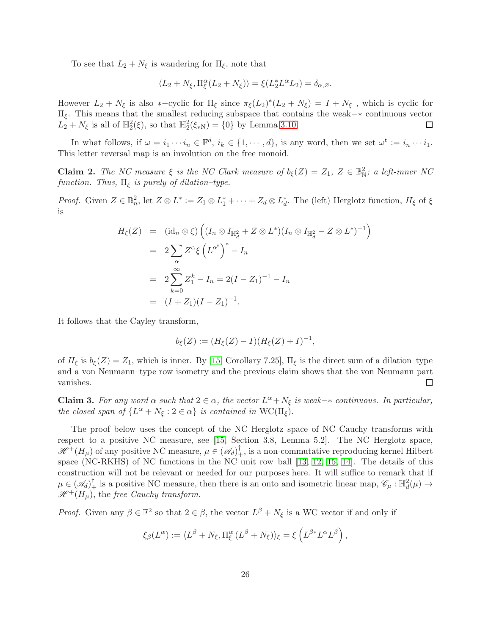To see that  $L_2 + N_{\xi}$  is wandering for  $\Pi_{\xi}$ , note that

$$
\langle L_2+N_\xi,\Pi^\alpha_\xi(L_2+N_\xi)\rangle=\xi(L_2^*L^\alpha L_2)=\delta_{\alpha,\varnothing}.
$$

However  $L_2 + N_\xi$  is also \*-cyclic for  $\Pi_\xi$  since  $\pi_\xi (L_2)^*(L_2 + N_\xi) = I + N_\xi$ , which is cyclic for Πξ. This means that the smallest reducing subspace that contains the weak−∗ continuous vector  $L_2 + N_{\xi}$  is all of  $\mathbb{H}_2^2(\xi)$ , so that  $\mathbb{H}_2^2(\xi_{vN}) = \{0\}$  by Lemma [3.10.](#page-10-0) □

In what follows, if  $\omega = i_1 \cdots i_n \in \mathbb{F}^d$ ,  $i_k \in \{1, \cdots, d\}$ , is any word, then we set  $\omega^t := i_n \cdots i_1$ . This letter reversal map is an involution on the free monoid.

**Claim 2.** The NC measure  $\xi$  is the NC Clark measure of  $b_{\xi}(Z) = Z_1, Z \in \mathbb{B}_{\mathbb{N}}^2$ ; a left-inner NC *function. Thus,*  $\Pi_{\xi}$  *is purely of dilation–type.* 

*Proof.* Given  $Z \in \mathbb{B}_n^2$ , let  $Z \otimes L^* := Z_1 \otimes L_1^* + \cdots + Z_d \otimes L_d^*$ . The (left) Herglotz function,  $H_\xi$  of  $\xi$ is

$$
H_{\xi}(Z) = (\mathrm{id}_{n} \otimes \xi) \left( (I_{n} \otimes I_{\mathbb{H}_{d}^{2}} + Z \otimes L^{*})(I_{n} \otimes I_{\mathbb{H}_{d}^{2}} - Z \otimes L^{*})^{-1} \right)
$$
  
=  $2 \sum_{\alpha} Z^{\alpha} \xi \left( L^{\alpha^{t}} \right)^{*} - I_{n}$   
=  $2 \sum_{k=0}^{\infty} Z_{1}^{k} - I_{n} = 2(I - Z_{1})^{-1} - I_{n}$   
=  $(I + Z_{1})(I - Z_{1})^{-1}.$ 

It follows that the Cayley transform,

$$
b_{\xi}(Z) := (H_{\xi}(Z) - I)(H_{\xi}(Z) + I)^{-1},
$$

of  $H_{\xi}$  is  $b_{\xi}(Z) = Z_1$ , which is inner. By [\[15,](#page-27-0) Corollary 7.25],  $\Pi_{\xi}$  is the direct sum of a dilation–type and a von Neumann–type row isometry and the previous claim shows that the von Neumann part vanishes. □

**Claim 3.** For any word  $\alpha$  such that  $2 \in \alpha$ , the vector  $L^{\alpha} + N_{\xi}$  is weak- $*$  continuous. In particular, *the closed span of*  $\{L^{\alpha} + N_{\xi} : 2 \in \alpha\}$  *is contained in* WC( $\Pi_{\xi}$ ).

The proof below uses the concept of the NC Herglotz space of NC Cauchy transforms with respect to a positive NC measure, see [\[15,](#page-27-0) Section 3.8, Lemma 5.2]. The NC Herglotz space,  $\mathscr{H}^+(H_\mu)$  of any positive NC measure,  $\mu \in (\mathscr{A}_d)^\dagger_+$ , is a non-commutative reproducing kernel Hilbert space (NC-RKHS) of NC functions in the NC unit row–ball [\[13,](#page-27-16) [12,](#page-27-11) [15,](#page-27-0) [14\]](#page-27-1). The details of this construction will not be relevant or needed for our purposes here. It will suffice to remark that if  $\mu \in (\mathscr{A}_d)^{\dagger}_+$  is a positive NC measure, then there is an onto and isometric linear map,  $\mathscr{C}_{\mu} : \mathbb{H}_d^2(\mu) \to$  $\mathscr{H}^+(H_\mu)$ , the *free Cauchy transform*.

*Proof.* Given any  $\beta \in \mathbb{F}^2$  so that  $2 \in \beta$ , the vector  $L^{\beta} + N_{\xi}$  is a WC vector if and only if

$$
\xi_{\beta}(L^{\alpha}) := \langle L^{\beta} + N_{\xi}, \Pi^{\alpha}_{\xi} (L^{\beta} + N_{\xi}) \rangle_{\xi} = \xi \left( L^{\beta *} L^{\alpha} L^{\beta} \right),
$$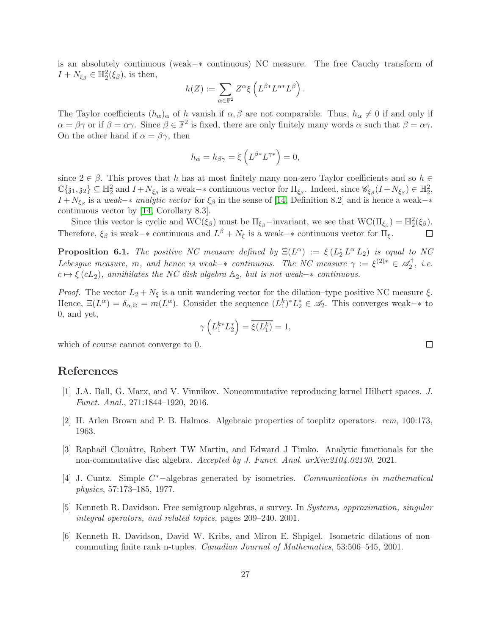is an absolutely continuous (weak−∗ continuous) NC measure. The free Cauchy transform of  $I + N_{\xi_{\beta}} \in \mathbb{H}_2^2(\xi_{\beta}),$  is then,

$$
h(Z):=\sum_{\alpha\in\mathbb{F}^2}Z^\alpha\xi\left(L^{\beta*}L^{\alpha*}L^\beta\right).
$$

The Taylor coefficients  $(h_{\alpha})_{\alpha}$  of h vanish if  $\alpha, \beta$  are not comparable. Thus,  $h_{\alpha} \neq 0$  if and only if  $\alpha = \beta \gamma$  or if  $\beta = \alpha \gamma$ . Since  $\beta \in \mathbb{F}^2$  is fixed, there are only finitely many words  $\alpha$  such that  $\beta = \alpha \gamma$ . On the other hand if  $\alpha = \beta \gamma$ , then

$$
h_{\alpha} = h_{\beta\gamma} = \xi \left( L^{\beta *} L^{\gamma *} \right) = 0,
$$

since  $2 \in \beta$ . This proves that h has at most finitely many non-zero Taylor coefficients and so  $h \in$  $\mathbb{C}\{\mathfrak{z}_1,\mathfrak{z}_2\}\subseteq \mathbb{H}_2^2$  and  $I+N_{\xi_\beta}$  is a weak- $*$  continuous vector for  $\Pi_{\xi_\beta}$ . Indeed, since  $\mathscr{C}_{\xi_\beta}(I+N_{\xi_\beta})\in \mathbb{H}_2^2$ ,  $I + N_{\xi_{\beta}}$  is a *weak*−\* *analytic vector* for  $\xi_{\beta}$  in the sense of [\[14,](#page-27-1) Definition 8.2] and is hence a weak−\* continuous vector by [\[14,](#page-27-1) Corollary 8.3].

Since this vector is cyclic and  $WC(\xi_\beta)$  must be  $\Pi_{\xi_\beta}$ -invariant, we see that  $WC(\Pi_{\xi_\beta}) = \mathbb{H}^2_2(\xi_\beta)$ . Therefore,  $\xi_{\beta}$  is weak– $*$  continuous and  $L^{\beta} + N_{\xi}$  is a weak– $*$  continuous vector for  $\Pi_{\xi}$ .  $\Box$ 

<span id="page-26-5"></span>**Proposition 6.1.** *The positive NC measure defined by*  $\Xi(L^{\alpha}) := \xi(L_2^* L^{\alpha} L_2)$  *is equal to NC Lebesgue measure,* m, and hence is weak– $*$  *continuous. The NC measure*  $\gamma := \xi^{(2)*} \in \mathcal{A}_2^{\dagger}$  $2^{\prime}$ , *i.e.*  $c \mapsto \xi(cL_2)$ , annihilates the NC disk algebra  $\mathbb{A}_2$ , but is not weak– $*$  *continuous.* 

*Proof.* The vector  $L_2 + N_{\xi}$  is a unit wandering vector for the dilation–type positive NC measure  $\xi$ . Hence,  $\Xi(L^{\alpha}) = \delta_{\alpha,\varnothing} = m(L^{\alpha})$ . Consider the sequence  $(L_1^k)^* L_2^* \in \mathscr{A}_2$ . This converges weak-\* to 0, and yet,

$$
\gamma\left(L_1^{k*}L_2^*\right) = \overline{\xi(L_1^k)} = 1,
$$

which of course cannot converge to 0.

## <span id="page-26-2"></span>References

- <span id="page-26-3"></span>[1] J.A. Ball, G. Marx, and V. Vinnikov. Noncommutative reproducing kernel Hilbert spaces. *J. Funct. Anal.*, 271:1844–1920, 2016.
- <span id="page-26-1"></span>[2] H. Arlen Brown and P. B. Halmos. Algebraic properties of toeplitz operators. *rem*, 100:173, 1963.
- [3] Raphaël Clouâtre, Robert TW Martin, and Edward J Timko. Analytic functionals for the non-commutative disc algebra. *Accepted by J. Funct. Anal. arXiv:2104.02130*, 2021.
- <span id="page-26-0"></span>[4] J. Cuntz. Simple C <sup>∗</sup>−algebras generated by isometries. *Communications in mathematical physics*, 57:173–185, 1977.
- <span id="page-26-4"></span>[5] Kenneth R. Davidson. Free semigroup algebras, a survey. In *Systems, approximation, singular integral operators, and related topics*, pages 209–240. 2001.
- <span id="page-26-6"></span>[6] Kenneth R. Davidson, David W. Kribs, and Miron E. Shpigel. Isometric dilations of noncommuting finite rank n-tuples. *Canadian Journal of Mathematics*, 53:506–545, 2001.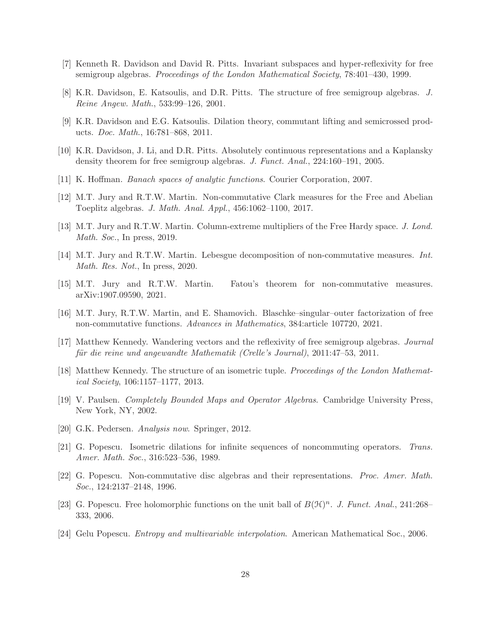- <span id="page-27-9"></span><span id="page-27-7"></span>[7] Kenneth R. Davidson and David R. Pitts. Invariant subspaces and hyper-reflexivity for free semigroup algebras. *Proceedings of the London Mathematical Society*, 78:401–430, 1999.
- <span id="page-27-8"></span>[8] K.R. Davidson, E. Katsoulis, and D.R. Pitts. The structure of free semigroup algebras. *J. Reine Angew. Math.*, 533:99–126, 2001.
- <span id="page-27-10"></span>[9] K.R. Davidson and E.G. Katsoulis. Dilation theory, commutant lifting and semicrossed products. *Doc. Math.*, 16:781–868, 2011.
- <span id="page-27-4"></span>[10] K.R. Davidson, J. Li, and D.R. Pitts. Absolutely continuous representations and a Kaplansky density theorem for free semigroup algebras. *J. Funct. Anal.*, 224:160–191, 2005.
- <span id="page-27-11"></span>[11] K. Hoffman. *Banach spaces of analytic functions*. Courier Corporation, 2007.
- <span id="page-27-16"></span>[12] M.T. Jury and R.T.W. Martin. Non-commutative Clark measures for the Free and Abelian Toeplitz algebras. *J. Math. Anal. Appl.*, 456:1062–1100, 2017.
- <span id="page-27-1"></span>[13] M.T. Jury and R.T.W. Martin. Column-extreme multipliers of the Free Hardy space. *J. Lond. Math. Soc.*, In press, 2019.
- <span id="page-27-0"></span>[14] M.T. Jury and R.T.W. Martin. Lebesgue decomposition of non-commutative measures. *Int. Math. Res. Not.*, In press, 2020.
- <span id="page-27-5"></span>[15] M.T. Jury and R.T.W. Martin. Fatou's theorem for non-commutative measures. arXiv:1907.09590, 2021.
- <span id="page-27-12"></span>[16] M.T. Jury, R.T.W. Martin, and E. Shamovich. Blaschke–singular–outer factorization of free non-commutative functions. *Advances in Mathematics*, 384:article 107720, 2021.
- [17] Matthew Kennedy. Wandering vectors and the reflexivity of free semigroup algebras. *Journal f¨ur die reine und angewandte Mathematik (Crelle's Journal)*, 2011:47–53, 2011.
- <span id="page-27-15"></span><span id="page-27-3"></span>[18] Matthew Kennedy. The structure of an isometric tuple. *Proceedings of the London Mathematical Society*, 106:1157–1177, 2013.
- <span id="page-27-14"></span>[19] V. Paulsen. *Completely Bounded Maps and Operator Algebras*. Cambridge University Press, New York, NY, 2002.
- <span id="page-27-2"></span>[20] G.K. Pedersen. *Analysis now*. Springer, 2012.
- <span id="page-27-17"></span>[21] G. Popescu. Isometric dilations for infinite sequences of noncommuting operators. *Trans. Amer. Math. Soc.*, 316:523–536, 1989.
- [22] G. Popescu. Non-commutative disc algebras and their representations. *Proc. Amer. Math. Soc.*, 124:2137–2148, 1996.
- <span id="page-27-6"></span>[23] G. Popescu. Free holomorphic functions on the unit ball of  $B(\mathcal{H})^n$ . *J. Funct. Anal.*, 241:268– 333, 2006.
- <span id="page-27-13"></span>[24] Gelu Popescu. *Entropy and multivariable interpolation*. American Mathematical Soc., 2006.